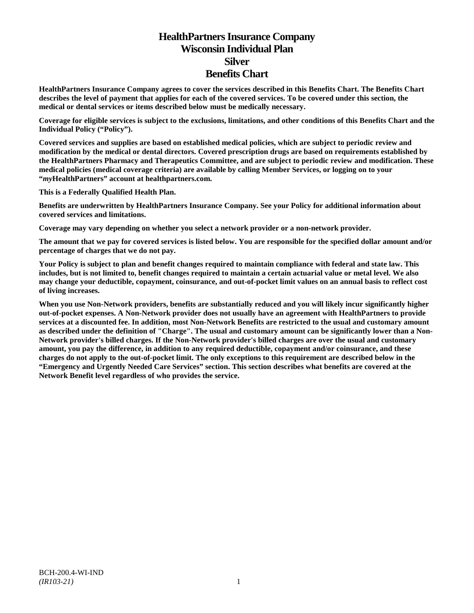# **HealthPartners Insurance Company Wisconsin Individual Plan Silver Benefits Chart**

**HealthPartners Insurance Company agrees to cover the services described in this Benefits Chart. The Benefits Chart describes the level of payment that applies for each of the covered services. To be covered under this section, the medical or dental services or items described below must be medically necessary.**

**Coverage for eligible services is subject to the exclusions, limitations, and other conditions of this Benefits Chart and the Individual Policy ("Policy").**

**Covered services and supplies are based on established medical policies, which are subject to periodic review and modification by the medical or dental directors. Covered prescription drugs are based on requirements established by the HealthPartners Pharmacy and Therapeutics Committee, and are subject to periodic review and modification. These medical policies (medical coverage criteria) are available by calling Member Services, or logging on to your "***my***HealthPartners" account at [healthpartners.com.](http://www.healthpartners.com/)**

**This is a Federally Qualified Health Plan.**

**Benefits are underwritten by HealthPartners Insurance Company. See your Policy for additional information about covered services and limitations.**

**Coverage may vary depending on whether you select a network provider or a non-network provider.**

**The amount that we pay for covered services is listed below. You are responsible for the specified dollar amount and/or percentage of charges that we do not pay.**

**Your Policy is subject to plan and benefit changes required to maintain compliance with federal and state law. This includes, but is not limited to, benefit changes required to maintain a certain actuarial value or metal level. We also may change your deductible, copayment, coinsurance, and out-of-pocket limit values on an annual basis to reflect cost of living increases.**

**When you use Non-Network providers, benefits are substantially reduced and you will likely incur significantly higher out-of-pocket expenses. A Non-Network provider does not usually have an agreement with HealthPartners to provide services at a discounted fee. In addition, most Non-Network Benefits are restricted to the usual and customary amount as described under the definition of "Charge". The usual and customary amount can be significantly lower than a Non-Network provider's billed charges. If the Non-Network provider's billed charges are over the usual and customary amount, you pay the difference, in addition to any required deductible, copayment and/or coinsurance, and these charges do not apply to the out-of-pocket limit. The only exceptions to this requirement are described below in the "Emergency and Urgently Needed Care Services" section. This section describes what benefits are covered at the Network Benefit level regardless of who provides the service.**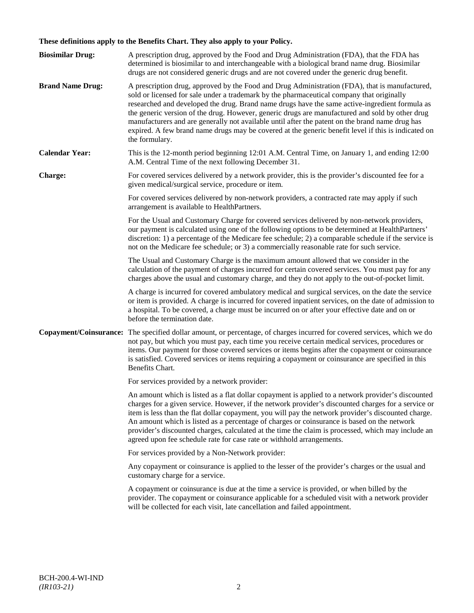# **These definitions apply to the Benefits Chart. They also apply to your Policy.**

| <b>Biosimilar Drug:</b> | A prescription drug, approved by the Food and Drug Administration (FDA), that the FDA has<br>determined is biosimilar to and interchangeable with a biological brand name drug. Biosimilar<br>drugs are not considered generic drugs and are not covered under the generic drug benefit.                                                                                                                                                                                                                                                                                                                                     |
|-------------------------|------------------------------------------------------------------------------------------------------------------------------------------------------------------------------------------------------------------------------------------------------------------------------------------------------------------------------------------------------------------------------------------------------------------------------------------------------------------------------------------------------------------------------------------------------------------------------------------------------------------------------|
| <b>Brand Name Drug:</b> | A prescription drug, approved by the Food and Drug Administration (FDA), that is manufactured,<br>sold or licensed for sale under a trademark by the pharmaceutical company that originally<br>researched and developed the drug. Brand name drugs have the same active-ingredient formula as<br>the generic version of the drug. However, generic drugs are manufactured and sold by other drug<br>manufacturers and are generally not available until after the patent on the brand name drug has<br>expired. A few brand name drugs may be covered at the generic benefit level if this is indicated on<br>the formulary. |
| <b>Calendar Year:</b>   | This is the 12-month period beginning 12:01 A.M. Central Time, on January 1, and ending 12:00<br>A.M. Central Time of the next following December 31.                                                                                                                                                                                                                                                                                                                                                                                                                                                                        |
| Charge:                 | For covered services delivered by a network provider, this is the provider's discounted fee for a<br>given medical/surgical service, procedure or item.                                                                                                                                                                                                                                                                                                                                                                                                                                                                      |
|                         | For covered services delivered by non-network providers, a contracted rate may apply if such<br>arrangement is available to HealthPartners.                                                                                                                                                                                                                                                                                                                                                                                                                                                                                  |
|                         | For the Usual and Customary Charge for covered services delivered by non-network providers,<br>our payment is calculated using one of the following options to be determined at HealthPartners'<br>discretion: 1) a percentage of the Medicare fee schedule; 2) a comparable schedule if the service is<br>not on the Medicare fee schedule; or 3) a commercially reasonable rate for such service.                                                                                                                                                                                                                          |
|                         | The Usual and Customary Charge is the maximum amount allowed that we consider in the<br>calculation of the payment of charges incurred for certain covered services. You must pay for any<br>charges above the usual and customary charge, and they do not apply to the out-of-pocket limit.                                                                                                                                                                                                                                                                                                                                 |
|                         | A charge is incurred for covered ambulatory medical and surgical services, on the date the service<br>or item is provided. A charge is incurred for covered inpatient services, on the date of admission to<br>a hospital. To be covered, a charge must be incurred on or after your effective date and on or<br>before the termination date.                                                                                                                                                                                                                                                                                |
| Copayment/Coinsurance:  | The specified dollar amount, or percentage, of charges incurred for covered services, which we do<br>not pay, but which you must pay, each time you receive certain medical services, procedures or<br>items. Our payment for those covered services or items begins after the copayment or coinsurance<br>is satisfied. Covered services or items requiring a copayment or coinsurance are specified in this<br>Benefits Chart.                                                                                                                                                                                             |
|                         | For services provided by a network provider:                                                                                                                                                                                                                                                                                                                                                                                                                                                                                                                                                                                 |
|                         | An amount which is listed as a flat dollar copayment is applied to a network provider's discounted<br>charges for a given service. However, if the network provider's discounted charges for a service or<br>item is less than the flat dollar copayment, you will pay the network provider's discounted charge.<br>An amount which is listed as a percentage of charges or coinsurance is based on the network<br>provider's discounted charges, calculated at the time the claim is processed, which may include an<br>agreed upon fee schedule rate for case rate or withhold arrangements.                               |
|                         | For services provided by a Non-Network provider:                                                                                                                                                                                                                                                                                                                                                                                                                                                                                                                                                                             |
|                         | Any copayment or coinsurance is applied to the lesser of the provider's charges or the usual and<br>customary charge for a service.                                                                                                                                                                                                                                                                                                                                                                                                                                                                                          |
|                         | A copayment or coinsurance is due at the time a service is provided, or when billed by the<br>provider. The copayment or coinsurance applicable for a scheduled visit with a network provider<br>will be collected for each visit, late cancellation and failed appointment.                                                                                                                                                                                                                                                                                                                                                 |
|                         |                                                                                                                                                                                                                                                                                                                                                                                                                                                                                                                                                                                                                              |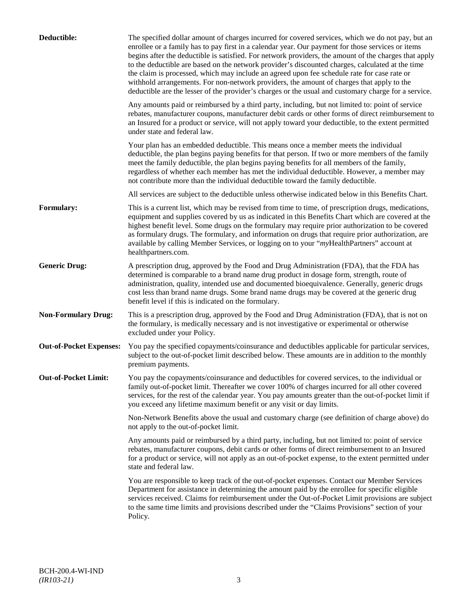| Deductible:                    | The specified dollar amount of charges incurred for covered services, which we do not pay, but an<br>enrollee or a family has to pay first in a calendar year. Our payment for those services or items<br>begins after the deductible is satisfied. For network providers, the amount of the charges that apply<br>to the deductible are based on the network provider's discounted charges, calculated at the time<br>the claim is processed, which may include an agreed upon fee schedule rate for case rate or<br>withhold arrangements. For non-network providers, the amount of charges that apply to the<br>deductible are the lesser of the provider's charges or the usual and customary charge for a service. |
|--------------------------------|-------------------------------------------------------------------------------------------------------------------------------------------------------------------------------------------------------------------------------------------------------------------------------------------------------------------------------------------------------------------------------------------------------------------------------------------------------------------------------------------------------------------------------------------------------------------------------------------------------------------------------------------------------------------------------------------------------------------------|
|                                | Any amounts paid or reimbursed by a third party, including, but not limited to: point of service<br>rebates, manufacturer coupons, manufacturer debit cards or other forms of direct reimbursement to<br>an Insured for a product or service, will not apply toward your deductible, to the extent permitted<br>under state and federal law.                                                                                                                                                                                                                                                                                                                                                                            |
|                                | Your plan has an embedded deductible. This means once a member meets the individual<br>deductible, the plan begins paying benefits for that person. If two or more members of the family<br>meet the family deductible, the plan begins paying benefits for all members of the family,<br>regardless of whether each member has met the individual deductible. However, a member may<br>not contribute more than the individual deductible toward the family deductible.                                                                                                                                                                                                                                                |
|                                | All services are subject to the deductible unless otherwise indicated below in this Benefits Chart.                                                                                                                                                                                                                                                                                                                                                                                                                                                                                                                                                                                                                     |
| Formulary:                     | This is a current list, which may be revised from time to time, of prescription drugs, medications,<br>equipment and supplies covered by us as indicated in this Benefits Chart which are covered at the<br>highest benefit level. Some drugs on the formulary may require prior authorization to be covered<br>as formulary drugs. The formulary, and information on drugs that require prior authorization, are<br>available by calling Member Services, or logging on to your "myHealthPartners" account at<br>healthpartners.com.                                                                                                                                                                                   |
| <b>Generic Drug:</b>           | A prescription drug, approved by the Food and Drug Administration (FDA), that the FDA has<br>determined is comparable to a brand name drug product in dosage form, strength, route of<br>administration, quality, intended use and documented bioequivalence. Generally, generic drugs<br>cost less than brand name drugs. Some brand name drugs may be covered at the generic drug<br>benefit level if this is indicated on the formulary.                                                                                                                                                                                                                                                                             |
| <b>Non-Formulary Drug:</b>     | This is a prescription drug, approved by the Food and Drug Administration (FDA), that is not on<br>the formulary, is medically necessary and is not investigative or experimental or otherwise<br>excluded under your Policy.                                                                                                                                                                                                                                                                                                                                                                                                                                                                                           |
| <b>Out-of-Pocket Expenses:</b> | You pay the specified copayments/coinsurance and deductibles applicable for particular services,<br>subject to the out-of-pocket limit described below. These amounts are in addition to the monthly<br>premium payments.                                                                                                                                                                                                                                                                                                                                                                                                                                                                                               |
| <b>Out-of-Pocket Limit:</b>    | You pay the copayments/coinsurance and deductibles for covered services, to the individual or<br>family out-of-pocket limit. Thereafter we cover 100% of charges incurred for all other covered<br>services, for the rest of the calendar year. You pay amounts greater than the out-of-pocket limit if<br>you exceed any lifetime maximum benefit or any visit or day limits.                                                                                                                                                                                                                                                                                                                                          |
|                                | Non-Network Benefits above the usual and customary charge (see definition of charge above) do<br>not apply to the out-of-pocket limit.                                                                                                                                                                                                                                                                                                                                                                                                                                                                                                                                                                                  |
|                                | Any amounts paid or reimbursed by a third party, including, but not limited to: point of service<br>rebates, manufacturer coupons, debit cards or other forms of direct reimbursement to an Insured<br>for a product or service, will not apply as an out-of-pocket expense, to the extent permitted under<br>state and federal law.                                                                                                                                                                                                                                                                                                                                                                                    |
|                                | You are responsible to keep track of the out-of-pocket expenses. Contact our Member Services<br>Department for assistance in determining the amount paid by the enrollee for specific eligible<br>services received. Claims for reimbursement under the Out-of-Pocket Limit provisions are subject<br>to the same time limits and provisions described under the "Claims Provisions" section of your<br>Policy.                                                                                                                                                                                                                                                                                                         |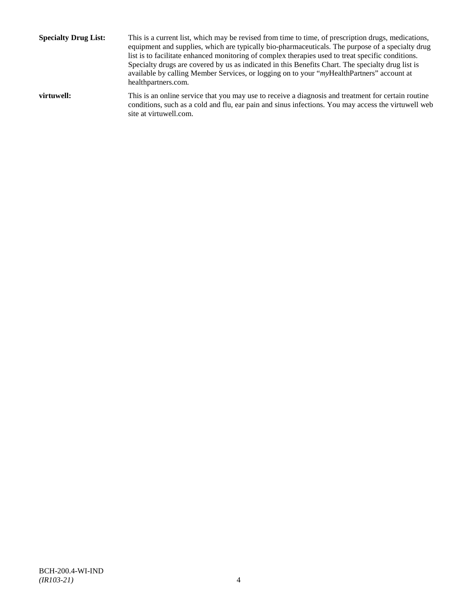**Specialty Drug List:** This is a current list, which may be revised from time to time, of prescription drugs, medications, equipment and supplies, which are typically bio-pharmaceuticals. The purpose of a specialty drug list is to facilitate enhanced monitoring of complex therapies used to treat specific conditions. Specialty drugs are covered by us as indicated in this Benefits Chart. The specialty drug list is available by calling Member Services, or logging on to your "*my*HealthPartners" account at [healthpartners.com.](http://www.healthpartners.com/) **virtuwell:** This is an online service that you may use to receive a diagnosis and treatment for certain routine conditions, such as a cold and flu, ear pain and sinus infections. You may access the virtuwell web

site a[t virtuwell.com.](http://www.virtuwell.com/)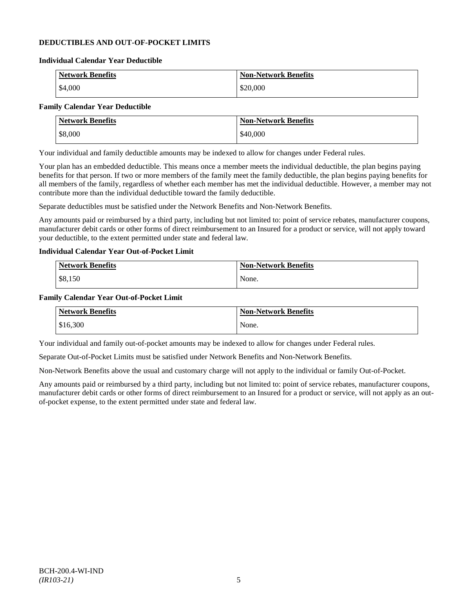# **DEDUCTIBLES AND OUT-OF-POCKET LIMITS**

#### **Individual Calendar Year Deductible**

| <b>Network Benefits</b> | <b>Non-Network Benefits</b> |
|-------------------------|-----------------------------|
| \$4,000                 | \$20,000                    |

# **Family Calendar Year Deductible**

| <b>Network Benefits</b> | <b>Non-Network Benefits</b> |
|-------------------------|-----------------------------|
| \$8,000                 | \$40,000                    |

Your individual and family deductible amounts may be indexed to allow for changes under Federal rules.

Your plan has an embedded deductible. This means once a member meets the individual deductible, the plan begins paying benefits for that person. If two or more members of the family meet the family deductible, the plan begins paying benefits for all members of the family, regardless of whether each member has met the individual deductible. However, a member may not contribute more than the individual deductible toward the family deductible.

Separate deductibles must be satisfied under the Network Benefits and Non-Network Benefits.

Any amounts paid or reimbursed by a third party, including but not limited to: point of service rebates, manufacturer coupons, manufacturer debit cards or other forms of direct reimbursement to an Insured for a product or service, will not apply toward your deductible, to the extent permitted under state and federal law.

# **Individual Calendar Year Out-of-Pocket Limit**

| Network Benefits | <b>Non-Network Benefits</b> |
|------------------|-----------------------------|
| \$8,150          | None.                       |

### **Family Calendar Year Out-of-Pocket Limit**

| <b>Network Benefits</b> | <b>Non-Network Benefits</b> |
|-------------------------|-----------------------------|
| \$16,300                | None.                       |

Your individual and family out-of-pocket amounts may be indexed to allow for changes under Federal rules.

Separate Out-of-Pocket Limits must be satisfied under Network Benefits and Non-Network Benefits.

Non-Network Benefits above the usual and customary charge will not apply to the individual or family Out-of-Pocket.

Any amounts paid or reimbursed by a third party, including but not limited to: point of service rebates, manufacturer coupons, manufacturer debit cards or other forms of direct reimbursement to an Insured for a product or service, will not apply as an outof-pocket expense, to the extent permitted under state and federal law.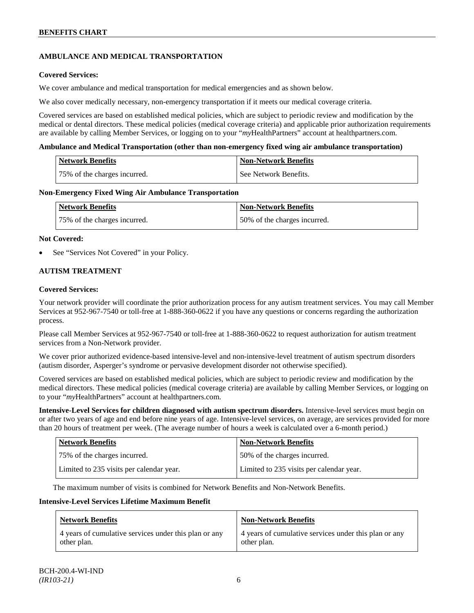# **AMBULANCE AND MEDICAL TRANSPORTATION**

# **Covered Services:**

We cover ambulance and medical transportation for medical emergencies and as shown below.

We also cover medically necessary, non-emergency transportation if it meets our medical coverage criteria.

Covered services are based on established medical policies, which are subject to periodic review and modification by the medical or dental directors. These medical policies (medical coverage criteria) and applicable prior authorization requirements are available by calling Member Services, or logging on to your "*my*HealthPartners" account at [healthpartners.com.](http://www.healthpartners.com/)

### **Ambulance and Medical Transportation (other than non-emergency fixed wing air ambulance transportation)**

| <b>Network Benefits</b>      | Non-Network Benefits    |
|------------------------------|-------------------------|
| 75% of the charges incurred. | l See Network Benefits. |

### **Non-Emergency Fixed Wing Air Ambulance Transportation**

| <b>Network Benefits</b>      | <b>Non-Network Benefits</b>  |
|------------------------------|------------------------------|
| 75% of the charges incurred. | 50% of the charges incurred. |

### **Not Covered:**

See "Services Not Covered" in your Policy.

# **AUTISM TREATMENT**

### **Covered Services:**

Your network provider will coordinate the prior authorization process for any autism treatment services. You may call Member Services at 952-967-7540 or toll-free at 1-888-360-0622 if you have any questions or concerns regarding the authorization process.

Please call Member Services at 952-967-7540 or toll-free at 1-888-360-0622 to request authorization for autism treatment services from a Non-Network provider.

We cover prior authorized evidence-based intensive-level and non-intensive-level treatment of autism spectrum disorders (autism disorder, Asperger's syndrome or pervasive development disorder not otherwise specified).

Covered services are based on established medical policies, which are subject to periodic review and modification by the medical directors. These medical policies (medical coverage criteria) are available by calling Member Services, or logging on to your "*my*HealthPartners" account at [healthpartners.com.](http://www.healthpartners.com/)

**Intensive-Level Services for children diagnosed with autism spectrum disorders.** Intensive-level services must begin on or after two years of age and end before nine years of age. Intensive-level services, on average, are services provided for more than 20 hours of treatment per week. (The average number of hours a week is calculated over a 6-month period.)

| <b>Network Benefits</b>                  | <b>Non-Network Benefits</b>              |
|------------------------------------------|------------------------------------------|
| 75% of the charges incurred.             | 50% of the charges incurred.             |
| Limited to 235 visits per calendar year. | Limited to 235 visits per calendar year. |

The maximum number of visits is combined for Network Benefits and Non-Network Benefits.

#### **Intensive-Level Services Lifetime Maximum Benefit**

| <b>Network Benefits</b>                               | <b>Non-Network Benefits</b>                           |
|-------------------------------------------------------|-------------------------------------------------------|
| 4 years of cumulative services under this plan or any | 4 years of cumulative services under this plan or any |
| other plan.                                           | other plan.                                           |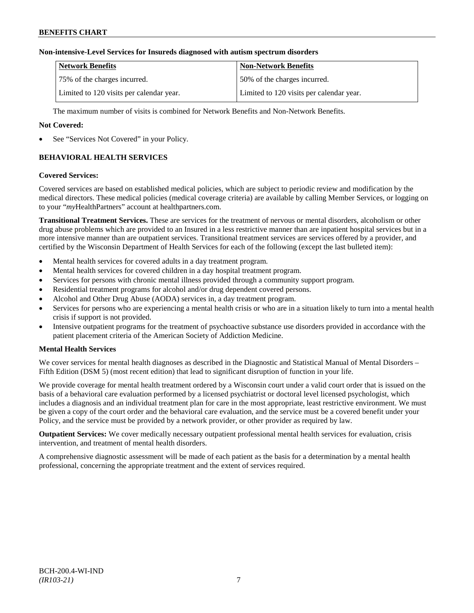# **Non-intensive-Level Services for Insureds diagnosed with autism spectrum disorders**

| <b>Network Benefits</b>                  | <b>Non-Network Benefits</b>              |
|------------------------------------------|------------------------------------------|
| 75% of the charges incurred.             | 150% of the charges incurred.            |
| Limited to 120 visits per calendar year. | Limited to 120 visits per calendar year. |

The maximum number of visits is combined for Network Benefits and Non-Network Benefits.

# **Not Covered:**

See "Services Not Covered" in your Policy.

# **BEHAVIORAL HEALTH SERVICES**

#### **Covered Services:**

Covered services are based on established medical policies, which are subject to periodic review and modification by the medical directors. These medical policies (medical coverage criteria) are available by calling Member Services, or logging on to your "*my*HealthPartners" account at [healthpartners.com.](http://www.healthpartners.com/)

**Transitional Treatment Services.** These are services for the treatment of nervous or mental disorders, alcoholism or other drug abuse problems which are provided to an Insured in a less restrictive manner than are inpatient hospital services but in a more intensive manner than are outpatient services. Transitional treatment services are services offered by a provider, and certified by the Wisconsin Department of Health Services for each of the following (except the last bulleted item):

- Mental health services for covered adults in a day treatment program.
- Mental health services for covered children in a day hospital treatment program.
- Services for persons with chronic mental illness provided through a community support program.
- Residential treatment programs for alcohol and/or drug dependent covered persons.
- Alcohol and Other Drug Abuse (AODA) services in, a day treatment program.
- Services for persons who are experiencing a mental health crisis or who are in a situation likely to turn into a mental health crisis if support is not provided.
- Intensive outpatient programs for the treatment of psychoactive substance use disorders provided in accordance with the patient placement criteria of the American Society of Addiction Medicine.

# **Mental Health Services**

We cover services for mental health diagnoses as described in the Diagnostic and Statistical Manual of Mental Disorders – Fifth Edition (DSM 5) (most recent edition) that lead to significant disruption of function in your life.

We provide coverage for mental health treatment ordered by a Wisconsin court under a valid court order that is issued on the basis of a behavioral care evaluation performed by a licensed psychiatrist or doctoral level licensed psychologist, which includes a diagnosis and an individual treatment plan for care in the most appropriate, least restrictive environment. We must be given a copy of the court order and the behavioral care evaluation, and the service must be a covered benefit under your Policy, and the service must be provided by a network provider, or other provider as required by law.

**Outpatient Services:** We cover medically necessary outpatient professional mental health services for evaluation, crisis intervention, and treatment of mental health disorders.

A comprehensive diagnostic assessment will be made of each patient as the basis for a determination by a mental health professional, concerning the appropriate treatment and the extent of services required.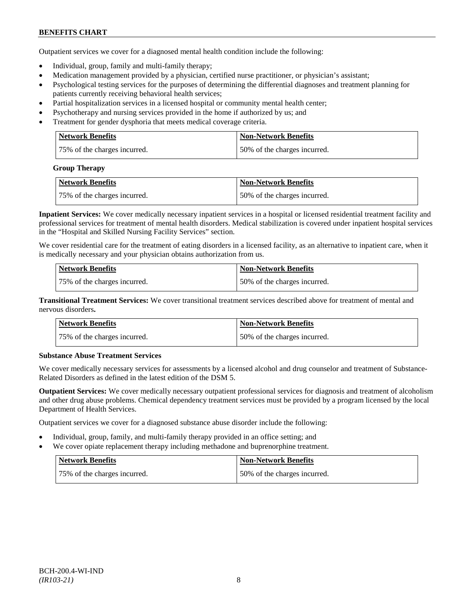Outpatient services we cover for a diagnosed mental health condition include the following:

- Individual, group, family and multi-family therapy;
- Medication management provided by a physician, certified nurse practitioner, or physician's assistant;
- Psychological testing services for the purposes of determining the differential diagnoses and treatment planning for patients currently receiving behavioral health services;
- Partial hospitalization services in a licensed hospital or community mental health center;
- Psychotherapy and nursing services provided in the home if authorized by us; and
- Treatment for gender dysphoria that meets medical coverage criteria.

| <b>Network Benefits</b>      | <b>Non-Network Benefits</b>  |
|------------------------------|------------------------------|
| 75% of the charges incurred. | 50% of the charges incurred. |

#### **Group Therapy**

| <b>Network Benefits</b>      | <b>Non-Network Benefits</b>  |
|------------------------------|------------------------------|
| 75% of the charges incurred. | 50% of the charges incurred. |

**Inpatient Services:** We cover medically necessary inpatient services in a hospital or licensed residential treatment facility and professional services for treatment of mental health disorders. Medical stabilization is covered under inpatient hospital services in the "Hospital and Skilled Nursing Facility Services" section.

We cover residential care for the treatment of eating disorders in a licensed facility, as an alternative to inpatient care, when it is medically necessary and your physician obtains authorization from us.

| <b>Network Benefits</b>      | <b>Non-Network Benefits</b>  |
|------------------------------|------------------------------|
| 75% of the charges incurred. | 50% of the charges incurred. |

**Transitional Treatment Services:** We cover transitional treatment services described above for treatment of mental and nervous disorders**.**

| <b>Network Benefits</b>      | <b>Non-Network Benefits</b>   |
|------------------------------|-------------------------------|
| 75% of the charges incurred. | 150% of the charges incurred. |

# **Substance Abuse Treatment Services**

We cover medically necessary services for assessments by a licensed alcohol and drug counselor and treatment of Substance-Related Disorders as defined in the latest edition of the DSM 5.

**Outpatient Services:** We cover medically necessary outpatient professional services for diagnosis and treatment of alcoholism and other drug abuse problems. Chemical dependency treatment services must be provided by a program licensed by the local Department of Health Services.

Outpatient services we cover for a diagnosed substance abuse disorder include the following:

- Individual, group, family, and multi-family therapy provided in an office setting; and
- We cover opiate replacement therapy including methadone and buprenorphine treatment.

| Network Benefits             | Non-Network Benefits         |
|------------------------------|------------------------------|
| 75% of the charges incurred. | 50% of the charges incurred. |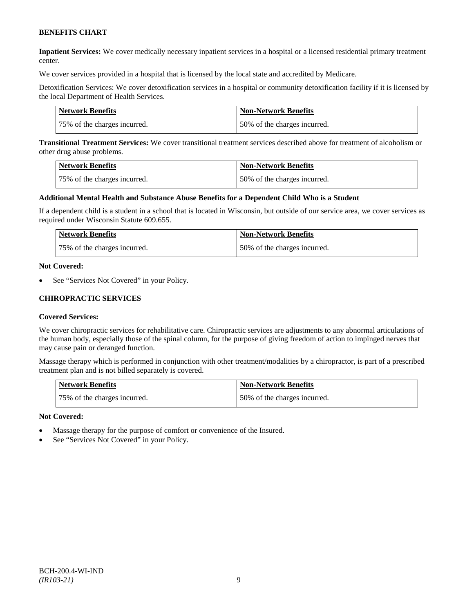**Inpatient Services:** We cover medically necessary inpatient services in a hospital or a licensed residential primary treatment center.

We cover services provided in a hospital that is licensed by the local state and accredited by Medicare.

Detoxification Services: We cover detoxification services in a hospital or community detoxification facility if it is licensed by the local Department of Health Services.

| Network Benefits             | <b>Non-Network Benefits</b>  |
|------------------------------|------------------------------|
| 75% of the charges incurred. | 50% of the charges incurred. |

**Transitional Treatment Services:** We cover transitional treatment services described above for treatment of alcoholism or other drug abuse problems.

| <b>Network Benefits</b>      | <b>Non-Network Benefits</b>  |
|------------------------------|------------------------------|
| 75% of the charges incurred. | 50% of the charges incurred. |

#### **Additional Mental Health and Substance Abuse Benefits for a Dependent Child Who is a Student**

If a dependent child is a student in a school that is located in Wisconsin, but outside of our service area, we cover services as required under Wisconsin Statute 609.655.

| <b>Network Benefits</b>      | <b>Non-Network Benefits</b>  |
|------------------------------|------------------------------|
| 75% of the charges incurred. | 50% of the charges incurred. |

#### **Not Covered:**

See "Services Not Covered" in your Policy.

### **CHIROPRACTIC SERVICES**

#### **Covered Services:**

We cover chiropractic services for rehabilitative care. Chiropractic services are adjustments to any abnormal articulations of the human body, especially those of the spinal column, for the purpose of giving freedom of action to impinged nerves that may cause pain or deranged function.

Massage therapy which is performed in conjunction with other treatment/modalities by a chiropractor, is part of a prescribed treatment plan and is not billed separately is covered.

| <b>Network Benefits</b>      | Non-Network Benefits         |
|------------------------------|------------------------------|
| 75% of the charges incurred. | 50% of the charges incurred. |

#### **Not Covered:**

- Massage therapy for the purpose of comfort or convenience of the Insured.
- See "Services Not Covered" in your Policy.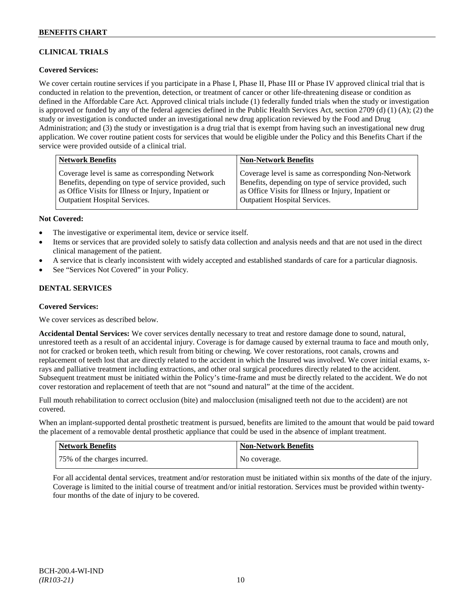# **CLINICAL TRIALS**

# **Covered Services:**

We cover certain routine services if you participate in a Phase I, Phase II, Phase III or Phase IV approved clinical trial that is conducted in relation to the prevention, detection, or treatment of cancer or other life-threatening disease or condition as defined in the Affordable Care Act. Approved clinical trials include (1) federally funded trials when the study or investigation is approved or funded by any of the federal agencies defined in the Public Health Services Act, section 2709 (d) (1) (A); (2) the study or investigation is conducted under an investigational new drug application reviewed by the Food and Drug Administration; and (3) the study or investigation is a drug trial that is exempt from having such an investigational new drug application. We cover routine patient costs for services that would be eligible under the Policy and this Benefits Chart if the service were provided outside of a clinical trial.

| <b>Network Benefits</b>                               | <b>Non-Network Benefits</b>                           |
|-------------------------------------------------------|-------------------------------------------------------|
| Coverage level is same as corresponding Network       | Coverage level is same as corresponding Non-Network   |
| Benefits, depending on type of service provided, such | Benefits, depending on type of service provided, such |
| as Office Visits for Illness or Injury, Inpatient or  | as Office Visits for Illness or Injury, Inpatient or  |
| Outpatient Hospital Services.                         | <b>Outpatient Hospital Services.</b>                  |

### **Not Covered:**

- The investigative or experimental item, device or service itself.
- Items or services that are provided solely to satisfy data collection and analysis needs and that are not used in the direct clinical management of the patient.
- A service that is clearly inconsistent with widely accepted and established standards of care for a particular diagnosis.
- See "Services Not Covered" in your Policy.

# **DENTAL SERVICES**

#### **Covered Services:**

We cover services as described below.

**Accidental Dental Services:** We cover services dentally necessary to treat and restore damage done to sound, natural, unrestored teeth as a result of an accidental injury. Coverage is for damage caused by external trauma to face and mouth only, not for cracked or broken teeth, which result from biting or chewing. We cover restorations, root canals, crowns and replacement of teeth lost that are directly related to the accident in which the Insured was involved. We cover initial exams, xrays and palliative treatment including extractions, and other oral surgical procedures directly related to the accident. Subsequent treatment must be initiated within the Policy's time-frame and must be directly related to the accident. We do not cover restoration and replacement of teeth that are not "sound and natural" at the time of the accident.

Full mouth rehabilitation to correct occlusion (bite) and malocclusion (misaligned teeth not due to the accident) are not covered.

When an implant-supported dental prosthetic treatment is pursued, benefits are limited to the amount that would be paid toward the placement of a removable dental prosthetic appliance that could be used in the absence of implant treatment.

| Network Benefits             | <b>Non-Network Benefits</b> |
|------------------------------|-----------------------------|
| 75% of the charges incurred. | No coverage.                |

For all accidental dental services, treatment and/or restoration must be initiated within six months of the date of the injury. Coverage is limited to the initial course of treatment and/or initial restoration. Services must be provided within twentyfour months of the date of injury to be covered.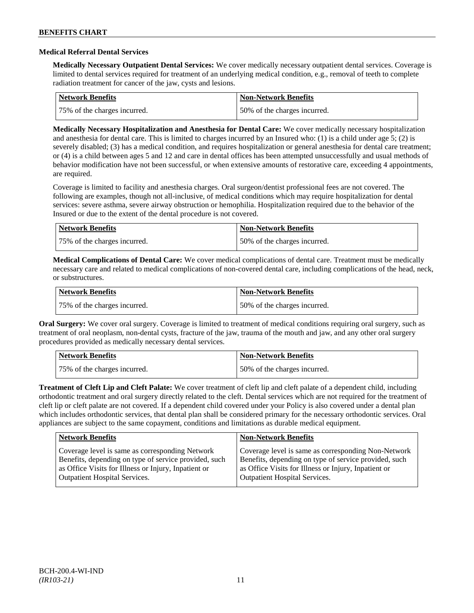### **Medical Referral Dental Services**

**Medically Necessary Outpatient Dental Services:** We cover medically necessary outpatient dental services. Coverage is limited to dental services required for treatment of an underlying medical condition, e.g., removal of teeth to complete radiation treatment for cancer of the jaw, cysts and lesions.

| <b>Network Benefits</b>      | Non-Network Benefits         |
|------------------------------|------------------------------|
| 75% of the charges incurred. | 50% of the charges incurred. |

**Medically Necessary Hospitalization and Anesthesia for Dental Care:** We cover medically necessary hospitalization and anesthesia for dental care. This is limited to charges incurred by an Insured who: (1) is a child under age 5; (2) is severely disabled; (3) has a medical condition, and requires hospitalization or general anesthesia for dental care treatment; or (4) is a child between ages 5 and 12 and care in dental offices has been attempted unsuccessfully and usual methods of behavior modification have not been successful, or when extensive amounts of restorative care, exceeding 4 appointments, are required.

Coverage is limited to facility and anesthesia charges. Oral surgeon/dentist professional fees are not covered. The following are examples, though not all-inclusive, of medical conditions which may require hospitalization for dental services: severe asthma, severe airway obstruction or hemophilia. Hospitalization required due to the behavior of the Insured or due to the extent of the dental procedure is not covered.

| Network Benefits             | <b>Non-Network Benefits</b>  |
|------------------------------|------------------------------|
| 75% of the charges incurred. | 50% of the charges incurred. |

**Medical Complications of Dental Care:** We cover medical complications of dental care. Treatment must be medically necessary care and related to medical complications of non-covered dental care, including complications of the head, neck, or substructures.

| Network Benefits             | <b>Non-Network Benefits</b>  |
|------------------------------|------------------------------|
| 75% of the charges incurred. | 50% of the charges incurred. |

**Oral Surgery:** We cover oral surgery. Coverage is limited to treatment of medical conditions requiring oral surgery, such as treatment of oral neoplasm, non-dental cysts, fracture of the jaw, trauma of the mouth and jaw, and any other oral surgery procedures provided as medically necessary dental services.

| Network Benefits             | <b>Non-Network Benefits</b>  |
|------------------------------|------------------------------|
| 75% of the charges incurred. | 50% of the charges incurred. |

**Treatment of Cleft Lip and Cleft Palate:** We cover treatment of cleft lip and cleft palate of a dependent child, including orthodontic treatment and oral surgery directly related to the cleft. Dental services which are not required for the treatment of cleft lip or cleft palate are not covered. If a dependent child covered under your Policy is also covered under a dental plan which includes orthodontic services, that dental plan shall be considered primary for the necessary orthodontic services. Oral appliances are subject to the same copayment, conditions and limitations as durable medical equipment.

| <b>Network Benefits</b>                               | <b>Non-Network Benefits</b>                           |
|-------------------------------------------------------|-------------------------------------------------------|
| Coverage level is same as corresponding Network       | Coverage level is same as corresponding Non-Network   |
| Benefits, depending on type of service provided, such | Benefits, depending on type of service provided, such |
| as Office Visits for Illness or Injury, Inpatient or  | as Office Visits for Illness or Injury, Inpatient or  |
| <b>Outpatient Hospital Services.</b>                  | Outpatient Hospital Services.                         |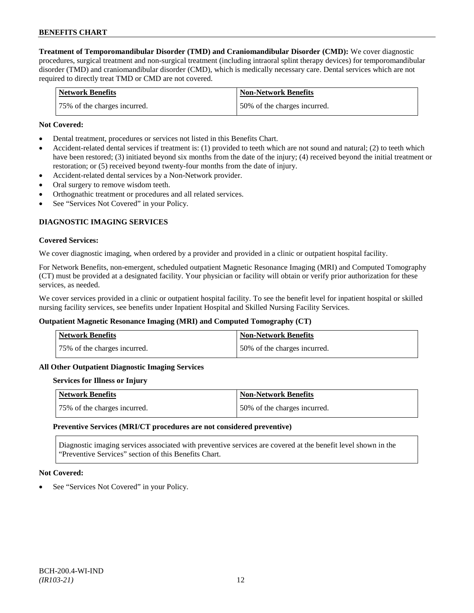**Treatment of Temporomandibular Disorder (TMD) and Craniomandibular Disorder (CMD):** We cover diagnostic procedures, surgical treatment and non-surgical treatment (including intraoral splint therapy devices) for temporomandibular disorder (TMD) and craniomandibular disorder (CMD), which is medically necessary care. Dental services which are not required to directly treat TMD or CMD are not covered.

| <b>Network Benefits</b>      | <b>Non-Network Benefits</b>  |
|------------------------------|------------------------------|
| 75% of the charges incurred. | 50% of the charges incurred. |

### **Not Covered:**

- Dental treatment, procedures or services not listed in this Benefits Chart.
- Accident-related dental services if treatment is: (1) provided to teeth which are not sound and natural; (2) to teeth which have been restored; (3) initiated beyond six months from the date of the injury; (4) received beyond the initial treatment or restoration; or (5) received beyond twenty-four months from the date of injury.
- Accident-related dental services by a Non-Network provider.
- Oral surgery to remove wisdom teeth.
- Orthognathic treatment or procedures and all related services.
- See "Services Not Covered" in your Policy.

# **DIAGNOSTIC IMAGING SERVICES**

#### **Covered Services:**

We cover diagnostic imaging, when ordered by a provider and provided in a clinic or outpatient hospital facility.

For Network Benefits, non-emergent, scheduled outpatient Magnetic Resonance Imaging (MRI) and Computed Tomography (CT) must be provided at a designated facility. Your physician or facility will obtain or verify prior authorization for these services, as needed.

We cover services provided in a clinic or outpatient hospital facility. To see the benefit level for inpatient hospital or skilled nursing facility services, see benefits under Inpatient Hospital and Skilled Nursing Facility Services.

#### **Outpatient Magnetic Resonance Imaging (MRI) and Computed Tomography (CT)**

| <b>Network Benefits</b>       | <b>Non-Network Benefits</b>  |
|-------------------------------|------------------------------|
| 175% of the charges incurred. | 50% of the charges incurred. |

#### **All Other Outpatient Diagnostic Imaging Services**

#### **Services for Illness or Injury**

| Network Benefits             | <b>Non-Network Benefits</b>  |
|------------------------------|------------------------------|
| 75% of the charges incurred. | 50% of the charges incurred. |

#### **Preventive Services (MRI/CT procedures are not considered preventive)**

Diagnostic imaging services associated with preventive services are covered at the benefit level shown in the "Preventive Services" section of this Benefits Chart.

#### **Not Covered:**

See "Services Not Covered" in your Policy.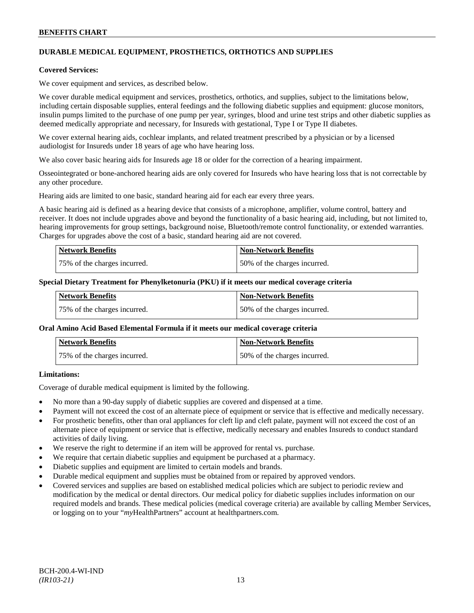# **DURABLE MEDICAL EQUIPMENT, PROSTHETICS, ORTHOTICS AND SUPPLIES**

#### **Covered Services:**

We cover equipment and services, as described below.

We cover durable medical equipment and services, prosthetics, orthotics, and supplies, subject to the limitations below, including certain disposable supplies, enteral feedings and the following diabetic supplies and equipment: glucose monitors, insulin pumps limited to the purchase of one pump per year, syringes, blood and urine test strips and other diabetic supplies as deemed medically appropriate and necessary, for Insureds with gestational, Type I or Type II diabetes.

We cover external hearing aids, cochlear implants, and related treatment prescribed by a physician or by a licensed audiologist for Insureds under 18 years of age who have hearing loss.

We also cover basic hearing aids for Insureds age 18 or older for the correction of a hearing impairment.

Osseointegrated or bone-anchored hearing aids are only covered for Insureds who have hearing loss that is not correctable by any other procedure.

Hearing aids are limited to one basic, standard hearing aid for each ear every three years.

A basic hearing aid is defined as a hearing device that consists of a microphone, amplifier, volume control, battery and receiver. It does not include upgrades above and beyond the functionality of a basic hearing aid, including, but not limited to, hearing improvements for group settings, background noise, Bluetooth/remote control functionality, or extended warranties. Charges for upgrades above the cost of a basic, standard hearing aid are not covered.

| <b>Network Benefits</b>      | <b>Non-Network Benefits</b>  |
|------------------------------|------------------------------|
| 75% of the charges incurred. | 50% of the charges incurred. |

#### **Special Dietary Treatment for Phenylketonuria (PKU) if it meets our medical coverage criteria**

| <b>Network Benefits</b>      | <b>Non-Network Benefits</b>  |
|------------------------------|------------------------------|
| 75% of the charges incurred. | 50% of the charges incurred. |

#### **Oral Amino Acid Based Elemental Formula if it meets our medical coverage criteria**

| <b>Network Benefits</b>      | <b>Non-Network Benefits</b>  |
|------------------------------|------------------------------|
| 75% of the charges incurred. | 50% of the charges incurred. |

### **Limitations:**

Coverage of durable medical equipment is limited by the following.

- No more than a 90-day supply of diabetic supplies are covered and dispensed at a time.
- Payment will not exceed the cost of an alternate piece of equipment or service that is effective and medically necessary.
- For prosthetic benefits, other than oral appliances for cleft lip and cleft palate, payment will not exceed the cost of an alternate piece of equipment or service that is effective, medically necessary and enables Insureds to conduct standard activities of daily living.
- We reserve the right to determine if an item will be approved for rental vs. purchase.
- We require that certain diabetic supplies and equipment be purchased at a pharmacy.
- Diabetic supplies and equipment are limited to certain models and brands.
- Durable medical equipment and supplies must be obtained from or repaired by approved vendors.
- Covered services and supplies are based on established medical policies which are subject to periodic review and modification by the medical or dental directors. Our medical policy for diabetic supplies includes information on our required models and brands. These medical policies (medical coverage criteria) are available by calling Member Services, or logging on to your "*my*HealthPartners" account a[t healthpartners.com.](http://www.healthpartners.com/)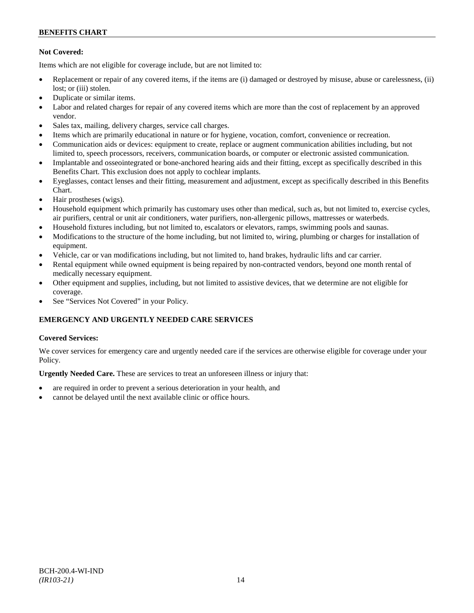# **Not Covered:**

Items which are not eligible for coverage include, but are not limited to:

- Replacement or repair of any covered items, if the items are (i) damaged or destroyed by misuse, abuse or carelessness, (ii) lost: or (iii) stolen.
- Duplicate or similar items.
- Labor and related charges for repair of any covered items which are more than the cost of replacement by an approved vendor.
- Sales tax, mailing, delivery charges, service call charges.
- Items which are primarily educational in nature or for hygiene, vocation, comfort, convenience or recreation.
- Communication aids or devices: equipment to create, replace or augment communication abilities including, but not limited to, speech processors, receivers, communication boards, or computer or electronic assisted communication.
- Implantable and osseointegrated or bone-anchored hearing aids and their fitting, except as specifically described in this Benefits Chart. This exclusion does not apply to cochlear implants.
- Eyeglasses, contact lenses and their fitting, measurement and adjustment, except as specifically described in this Benefits Chart.
- Hair prostheses (wigs).
- Household equipment which primarily has customary uses other than medical, such as, but not limited to, exercise cycles, air purifiers, central or unit air conditioners, water purifiers, non-allergenic pillows, mattresses or waterbeds.
- Household fixtures including, but not limited to, escalators or elevators, ramps, swimming pools and saunas.
- Modifications to the structure of the home including, but not limited to, wiring, plumbing or charges for installation of equipment.
- Vehicle, car or van modifications including, but not limited to, hand brakes, hydraulic lifts and car carrier.
- Rental equipment while owned equipment is being repaired by non-contracted vendors, beyond one month rental of medically necessary equipment.
- Other equipment and supplies, including, but not limited to assistive devices, that we determine are not eligible for coverage.
- See "Services Not Covered" in your Policy.

# **EMERGENCY AND URGENTLY NEEDED CARE SERVICES**

# **Covered Services:**

We cover services for emergency care and urgently needed care if the services are otherwise eligible for coverage under your Policy.

**Urgently Needed Care.** These are services to treat an unforeseen illness or injury that:

- are required in order to prevent a serious deterioration in your health, and
- cannot be delayed until the next available clinic or office hours.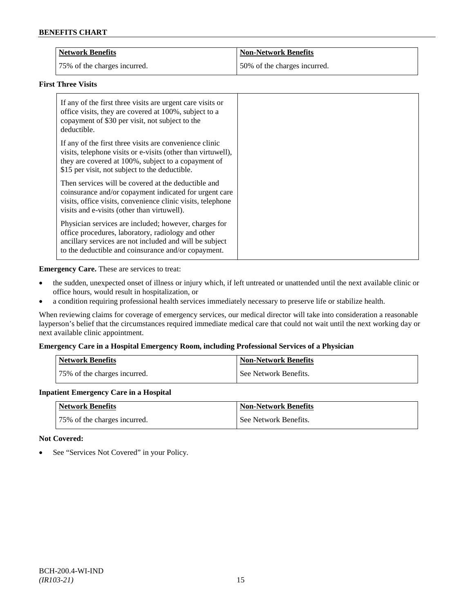| Network Benefits             | <b>Non-Network Benefits</b>  |
|------------------------------|------------------------------|
| 75% of the charges incurred. | 50% of the charges incurred. |

# **First Three Visits**

| If any of the first three visits are urgent care visits or<br>office visits, they are covered at 100%, subject to a<br>copayment of \$30 per visit, not subject to the<br>deductible.                                            |
|----------------------------------------------------------------------------------------------------------------------------------------------------------------------------------------------------------------------------------|
| If any of the first three visits are convenience clinic<br>visits, telephone visits or e-visits (other than virtuwell),<br>they are covered at 100%, subject to a copayment of<br>\$15 per visit, not subject to the deductible. |
| Then services will be covered at the deductible and<br>coinsurance and/or copayment indicated for urgent care<br>visits, office visits, convenience clinic visits, telephone<br>visits and e-visits (other than virtuwell).      |
| Physician services are included; however, charges for<br>office procedures, laboratory, radiology and other<br>ancillary services are not included and will be subject<br>to the deductible and coinsurance and/or copayment.    |

**Emergency Care.** These are services to treat:

- the sudden, unexpected onset of illness or injury which, if left untreated or unattended until the next available clinic or office hours, would result in hospitalization, or
- a condition requiring professional health services immediately necessary to preserve life or stabilize health.

When reviewing claims for coverage of emergency services, our medical director will take into consideration a reasonable layperson's belief that the circumstances required immediate medical care that could not wait until the next working day or next available clinic appointment.

# **Emergency Care in a Hospital Emergency Room, including Professional Services of a Physician**

| Network Benefits             | <b>Non-Network Benefits</b> |
|------------------------------|-----------------------------|
| 75% of the charges incurred. | See Network Benefits.       |

# **Inpatient Emergency Care in a Hospital**

| <b>Network Benefits</b>      | <b>Non-Network Benefits</b> |
|------------------------------|-----------------------------|
| 75% of the charges incurred. | See Network Benefits.       |

# **Not Covered:**

• See "Services Not Covered" in your Policy.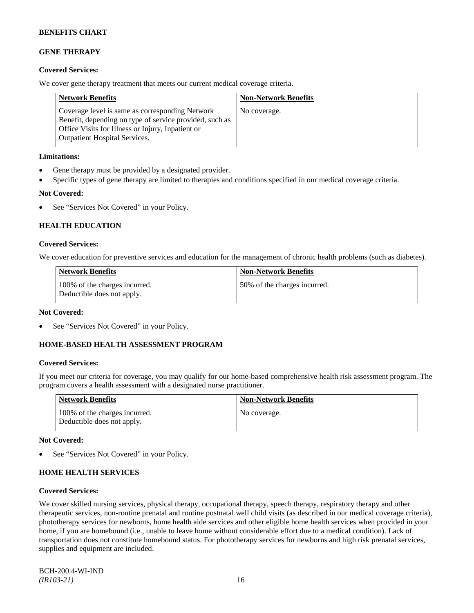# **GENE THERAPY**

# **Covered Services:**

We cover gene therapy treatment that meets our current medical coverage criteria.

| <b>Network Benefits</b>                                                                                                                                                                          | <b>Non-Network Benefits</b> |
|--------------------------------------------------------------------------------------------------------------------------------------------------------------------------------------------------|-----------------------------|
| Coverage level is same as corresponding Network<br>Benefit, depending on type of service provided, such as<br>Office Visits for Illness or Injury, Inpatient or<br>Outpatient Hospital Services. | No coverage.                |

### **Limitations:**

- Gene therapy must be provided by a designated provider.
- Specific types of gene therapy are limited to therapies and conditions specified in our medical coverage criteria.

# **Not Covered:**

• See "Services Not Covered" in your Policy.

# **HEALTH EDUCATION**

# **Covered Services:**

We cover education for preventive services and education for the management of chronic health problems (such as diabetes).

| <b>Network Benefits</b>                                     | <b>Non-Network Benefits</b>  |
|-------------------------------------------------------------|------------------------------|
| 100% of the charges incurred.<br>Deductible does not apply. | 50% of the charges incurred. |

# **Not Covered:**

See "Services Not Covered" in your Policy.

# **HOME-BASED HEALTH ASSESSMENT PROGRAM**

# **Covered Services:**

If you meet our criteria for coverage, you may qualify for our home-based comprehensive health risk assessment program. The program covers a health assessment with a designated nurse practitioner.

| <b>Network Benefits</b>                                     | <b>Non-Network Benefits</b> |
|-------------------------------------------------------------|-----------------------------|
| 100% of the charges incurred.<br>Deductible does not apply. | No coverage.                |

# **Not Covered:**

See "Services Not Covered" in your Policy.

# **HOME HEALTH SERVICES**

### **Covered Services:**

We cover skilled nursing services, physical therapy, occupational therapy, speech therapy, respiratory therapy and other therapeutic services, non-routine prenatal and routine postnatal well child visits (as described in our medical coverage criteria), phototherapy services for newborns, home health aide services and other eligible home health services when provided in your home, if you are homebound (i.e., unable to leave home without considerable effort due to a medical condition). Lack of transportation does not constitute homebound status. For phototherapy services for newborns and high risk prenatal services, supplies and equipment are included.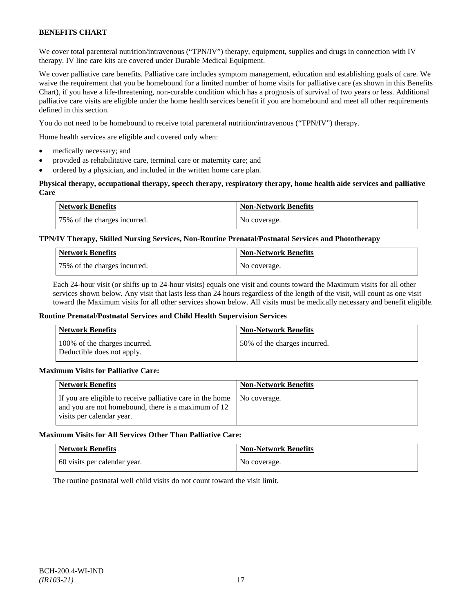We cover total parenteral nutrition/intravenous ("TPN/IV") therapy, equipment, supplies and drugs in connection with IV therapy. IV line care kits are covered under Durable Medical Equipment.

We cover palliative care benefits. Palliative care includes symptom management, education and establishing goals of care. We waive the requirement that you be homebound for a limited number of home visits for palliative care (as shown in this Benefits Chart), if you have a life-threatening, non-curable condition which has a prognosis of survival of two years or less. Additional palliative care visits are eligible under the home health services benefit if you are homebound and meet all other requirements defined in this section.

You do not need to be homebound to receive total parenteral nutrition/intravenous ("TPN/IV") therapy.

Home health services are eligible and covered only when:

- medically necessary; and
- provided as rehabilitative care, terminal care or maternity care; and
- ordered by a physician, and included in the written home care plan.

### **Physical therapy, occupational therapy, speech therapy, respiratory therapy, home health aide services and palliative Care**

| <b>Network Benefits</b>      | <b>Non-Network Benefits</b> |
|------------------------------|-----------------------------|
| 75% of the charges incurred. | No coverage.                |

# **TPN/IV Therapy, Skilled Nursing Services, Non-Routine Prenatal/Postnatal Services and Phototherapy**

| <b>Network Benefits</b>      | <b>Non-Network Benefits</b> |
|------------------------------|-----------------------------|
| 75% of the charges incurred. | No coverage.                |

Each 24-hour visit (or shifts up to 24-hour visits) equals one visit and counts toward the Maximum visits for all other services shown below. Any visit that lasts less than 24 hours regardless of the length of the visit, will count as one visit toward the Maximum visits for all other services shown below. All visits must be medically necessary and benefit eligible.

#### **Routine Prenatal/Postnatal Services and Child Health Supervision Services**

| <b>Network Benefits</b>                                     | <b>Non-Network Benefits</b>  |
|-------------------------------------------------------------|------------------------------|
| 100% of the charges incurred.<br>Deductible does not apply. | 50% of the charges incurred. |

#### **Maximum Visits for Palliative Care:**

| <b>Network Benefits</b>                                                                                                                        | <b>Non-Network Benefits</b> |
|------------------------------------------------------------------------------------------------------------------------------------------------|-----------------------------|
| If you are eligible to receive palliative care in the home<br>and you are not homebound, there is a maximum of 12<br>visits per calendar year. | No coverage.                |

# **Maximum Visits for All Services Other Than Palliative Care:**

| <b>Network Benefits</b>      | <b>Non-Network Benefits</b> |
|------------------------------|-----------------------------|
| 60 visits per calendar year. | No coverage.                |

The routine postnatal well child visits do not count toward the visit limit.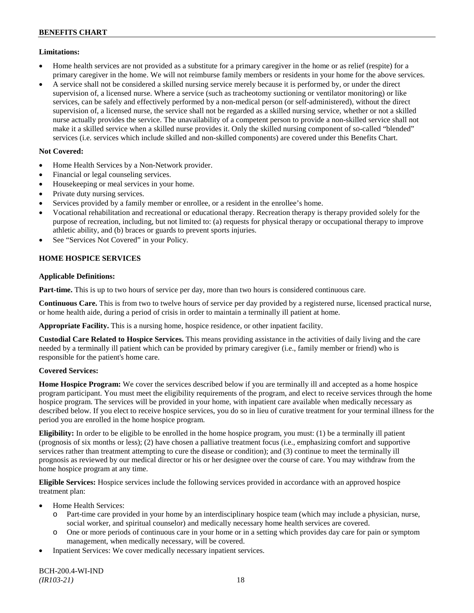# **Limitations:**

- Home health services are not provided as a substitute for a primary caregiver in the home or as relief (respite) for a primary caregiver in the home. We will not reimburse family members or residents in your home for the above services.
- A service shall not be considered a skilled nursing service merely because it is performed by, or under the direct supervision of, a licensed nurse. Where a service (such as tracheotomy suctioning or ventilator monitoring) or like services, can be safely and effectively performed by a non-medical person (or self-administered), without the direct supervision of, a licensed nurse, the service shall not be regarded as a skilled nursing service, whether or not a skilled nurse actually provides the service. The unavailability of a competent person to provide a non-skilled service shall not make it a skilled service when a skilled nurse provides it. Only the skilled nursing component of so-called "blended" services (i.e. services which include skilled and non-skilled components) are covered under this Benefits Chart.

# **Not Covered:**

- Home Health Services by a Non-Network provider.
- Financial or legal counseling services.
- Housekeeping or meal services in your home.
- Private duty nursing services.
- Services provided by a family member or enrollee, or a resident in the enrollee's home.
- Vocational rehabilitation and recreational or educational therapy. Recreation therapy is therapy provided solely for the purpose of recreation, including, but not limited to: (a) requests for physical therapy or occupational therapy to improve athletic ability, and (b) braces or guards to prevent sports injuries.
- See "Services Not Covered" in your Policy.

# **HOME HOSPICE SERVICES**

# **Applicable Definitions:**

**Part-time.** This is up to two hours of service per day, more than two hours is considered continuous care.

**Continuous Care.** This is from two to twelve hours of service per day provided by a registered nurse, licensed practical nurse, or home health aide, during a period of crisis in order to maintain a terminally ill patient at home.

**Appropriate Facility.** This is a nursing home, hospice residence, or other inpatient facility.

**Custodial Care Related to Hospice Services.** This means providing assistance in the activities of daily living and the care needed by a terminally ill patient which can be provided by primary caregiver (i.e., family member or friend) who is responsible for the patient's home care.

# **Covered Services:**

**Home Hospice Program:** We cover the services described below if you are terminally ill and accepted as a home hospice program participant. You must meet the eligibility requirements of the program, and elect to receive services through the home hospice program. The services will be provided in your home, with inpatient care available when medically necessary as described below. If you elect to receive hospice services, you do so in lieu of curative treatment for your terminal illness for the period you are enrolled in the home hospice program.

**Eligibility:** In order to be eligible to be enrolled in the home hospice program, you must: (1) be a terminally ill patient (prognosis of six months or less); (2) have chosen a palliative treatment focus (i.e., emphasizing comfort and supportive services rather than treatment attempting to cure the disease or condition); and (3) continue to meet the terminally ill prognosis as reviewed by our medical director or his or her designee over the course of care. You may withdraw from the home hospice program at any time.

**Eligible Services:** Hospice services include the following services provided in accordance with an approved hospice treatment plan:

- Home Health Services:
	- o Part-time care provided in your home by an interdisciplinary hospice team (which may include a physician, nurse, social worker, and spiritual counselor) and medically necessary home health services are covered.
	- o One or more periods of continuous care in your home or in a setting which provides day care for pain or symptom management, when medically necessary, will be covered.
- Inpatient Services: We cover medically necessary inpatient services.

BCH-200.4-WI-IND *(IR103-21)* 18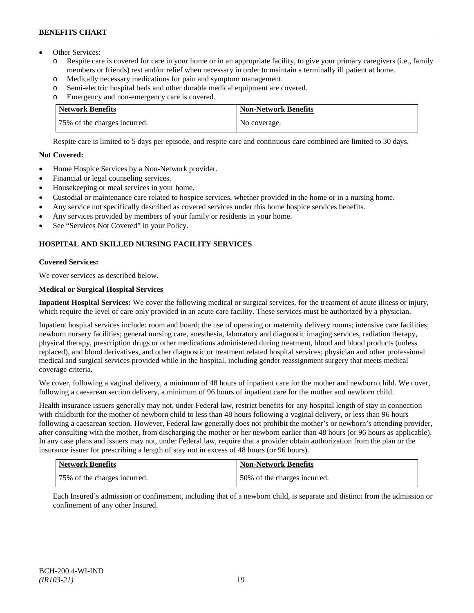- Other Services:
	- o Respite care is covered for care in your home or in an appropriate facility, to give your primary caregivers (i.e., family members or friends) rest and/or relief when necessary in order to maintain a terminally ill patient at home*.*
	- o Medically necessary medications for pain and symptom management.
	- o Semi-electric hospital beds and other durable medical equipment are covered.
	- o Emergency and non-emergency care is covered.

| <b>Network Benefits</b>      | <b>Non-Network Benefits</b> |
|------------------------------|-----------------------------|
| 75% of the charges incurred. | No coverage.                |

Respite care is limited to 5 days per episode, and respite care and continuous care combined are limited to 30 days.

# **Not Covered:**

- Home Hospice Services by a Non-Network provider.
- Financial or legal counseling services.
- Housekeeping or meal services in your home.
- Custodial or maintenance care related to hospice services, whether provided in the home or in a nursing home.
- Any service not specifically described as covered services under this home hospice services benefits.
- Any services provided by members of your family or residents in your home.
- See "Services Not Covered" in your Policy.

# **HOSPITAL AND SKILLED NURSING FACILITY SERVICES**

# **Covered Services:**

We cover services as described below.

# **Medical or Surgical Hospital Services**

**Inpatient Hospital Services:** We cover the following medical or surgical services, for the treatment of acute illness or injury, which require the level of care only provided in an acute care facility. These services must be authorized by a physician.

Inpatient hospital services include: room and board; the use of operating or maternity delivery rooms; intensive care facilities; newborn nursery facilities; general nursing care, anesthesia, laboratory and diagnostic imaging services, radiation therapy, physical therapy, prescription drugs or other medications administered during treatment, blood and blood products (unless replaced), and blood derivatives, and other diagnostic or treatment related hospital services; physician and other professional medical and surgical services provided while in the hospital, including gender reassignment surgery that meets medical coverage criteria.

We cover, following a vaginal delivery, a minimum of 48 hours of inpatient care for the mother and newborn child. We cover, following a caesarean section delivery, a minimum of 96 hours of inpatient care for the mother and newborn child.

Health insurance issuers generally may not, under Federal law, restrict benefits for any hospital length of stay in connection with childbirth for the mother of newborn child to less than 48 hours following a vaginal delivery, or less than 96 hours following a caesarean section. However, Federal law generally does not prohibit the mother's or newborn's attending provider, after consulting with the mother, from discharging the mother or her newborn earlier than 48 hours (or 96 hours as applicable). In any case plans and issuers may not, under Federal law, require that a provider obtain authorization from the plan or the insurance issuer for prescribing a length of stay not in excess of 48 hours (or 96 hours).

| Network Benefits             | <b>Non-Network Benefits</b>  |
|------------------------------|------------------------------|
| 75% of the charges incurred. | 50% of the charges incurred. |

Each Insured's admission or confinement, including that of a newborn child, is separate and distinct from the admission or confinement of any other Insured.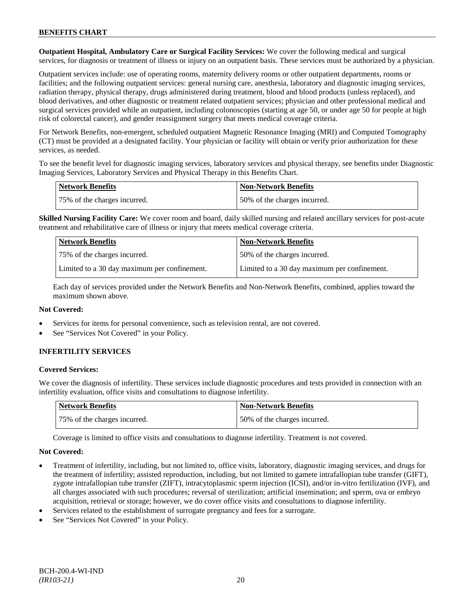**Outpatient Hospital, Ambulatory Care or Surgical Facility Services:** We cover the following medical and surgical services, for diagnosis or treatment of illness or injury on an outpatient basis. These services must be authorized by a physician.

Outpatient services include: use of operating rooms, maternity delivery rooms or other outpatient departments, rooms or facilities; and the following outpatient services: general nursing care, anesthesia, laboratory and diagnostic imaging services, radiation therapy, physical therapy, drugs administered during treatment, blood and blood products (unless replaced), and blood derivatives, and other diagnostic or treatment related outpatient services; physician and other professional medical and surgical services provided while an outpatient, including colonoscopies (starting at age 50, or under age 50 for people at high risk of colorectal cancer), and gender reassignment surgery that meets medical coverage criteria.

For Network Benefits, non-emergent, scheduled outpatient Magnetic Resonance Imaging (MRI) and Computed Tomography (CT) must be provided at a designated facility. Your physician or facility will obtain or verify prior authorization for these services, as needed.

To see the benefit level for diagnostic imaging services, laboratory services and physical therapy, see benefits under Diagnostic Imaging Services, Laboratory Services and Physical Therapy in this Benefits Chart.

| <b>Network Benefits</b>      | Non-Network Benefits         |
|------------------------------|------------------------------|
| 75% of the charges incurred. | 50% of the charges incurred. |

**Skilled Nursing Facility Care:** We cover room and board, daily skilled nursing and related ancillary services for post-acute treatment and rehabilitative care of illness or injury that meets medical coverage criteria.

| <b>Network Benefits</b>                      | <b>Non-Network Benefits</b>                  |
|----------------------------------------------|----------------------------------------------|
| 75% of the charges incurred.                 | 50% of the charges incurred.                 |
| Limited to a 30 day maximum per confinement. | Limited to a 30 day maximum per confinement. |

Each day of services provided under the Network Benefits and Non-Network Benefits, combined, applies toward the maximum shown above.

# **Not Covered:**

- Services for items for personal convenience, such as television rental, are not covered.
- See "Services Not Covered" in your Policy.

# **INFERTILITY SERVICES**

# **Covered Services:**

We cover the diagnosis of infertility. These services include diagnostic procedures and tests provided in connection with an infertility evaluation, office visits and consultations to diagnose infertility.

| Network Benefits             | <b>Non-Network Benefits</b>  |
|------------------------------|------------------------------|
| 75% of the charges incurred. | 50% of the charges incurred. |

Coverage is limited to office visits and consultations to diagnose infertility. Treatment is not covered.

# **Not Covered:**

- Treatment of infertility, including, but not limited to, office visits, laboratory, diagnostic imaging services, and drugs for the treatment of infertility; assisted reproduction, including, but not limited to gamete intrafallopian tube transfer (GIFT), zygote intrafallopian tube transfer (ZIFT), intracytoplasmic sperm injection (ICSI), and/or in-vitro fertilization (IVF), and all charges associated with such procedures; reversal of sterilization; artificial insemination; and sperm, ova or embryo acquisition, retrieval or storage; however, we do cover office visits and consultations to diagnose infertility.
- Services related to the establishment of surrogate pregnancy and fees for a surrogate.
- See "Services Not Covered" in your Policy.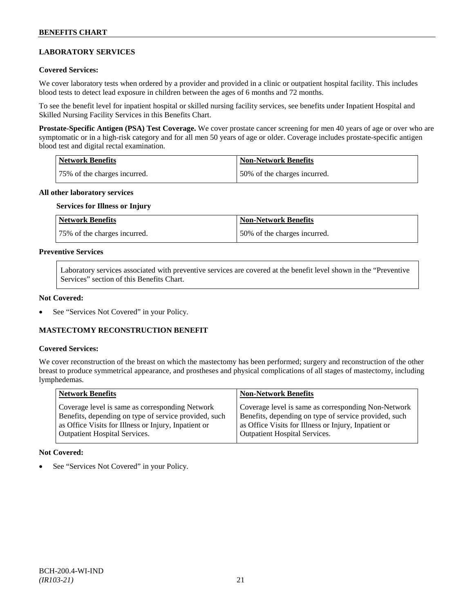# **LABORATORY SERVICES**

### **Covered Services:**

We cover laboratory tests when ordered by a provider and provided in a clinic or outpatient hospital facility. This includes blood tests to detect lead exposure in children between the ages of 6 months and 72 months.

To see the benefit level for inpatient hospital or skilled nursing facility services, see benefits under Inpatient Hospital and Skilled Nursing Facility Services in this Benefits Chart.

**Prostate-Specific Antigen (PSA) Test Coverage.** We cover prostate cancer screening for men 40 years of age or over who are symptomatic or in a high-risk category and for all men 50 years of age or older. Coverage includes prostate-specific antigen blood test and digital rectal examination.

| <b>Network Benefits</b>      | Non-Network Benefits         |
|------------------------------|------------------------------|
| 75% of the charges incurred. | 50% of the charges incurred. |

#### **All other laboratory services**

#### **Services for Illness or Injury**

| <b>Network Benefits</b>      | <b>Non-Network Benefits</b>  |
|------------------------------|------------------------------|
| 75% of the charges incurred. | 50% of the charges incurred. |

### **Preventive Services**

Laboratory services associated with preventive services are covered at the benefit level shown in the "Preventive Services" section of this Benefits Chart.

#### **Not Covered:**

See "Services Not Covered" in your Policy.

# **MASTECTOMY RECONSTRUCTION BENEFIT**

#### **Covered Services:**

We cover reconstruction of the breast on which the mastectomy has been performed; surgery and reconstruction of the other breast to produce symmetrical appearance, and prostheses and physical complications of all stages of mastectomy, including lymphedemas.

| Coverage level is same as corresponding Non-Network<br>Coverage level is same as corresponding Network<br>Benefits, depending on type of service provided, such<br>Benefits, depending on type of service provided, such<br>as Office Visits for Illness or Injury, Inpatient or<br>as Office Visits for Illness or Injury, Inpatient or<br><b>Outpatient Hospital Services.</b><br><b>Outpatient Hospital Services.</b> |  |
|--------------------------------------------------------------------------------------------------------------------------------------------------------------------------------------------------------------------------------------------------------------------------------------------------------------------------------------------------------------------------------------------------------------------------|--|

#### **Not Covered:**

See "Services Not Covered" in your Policy.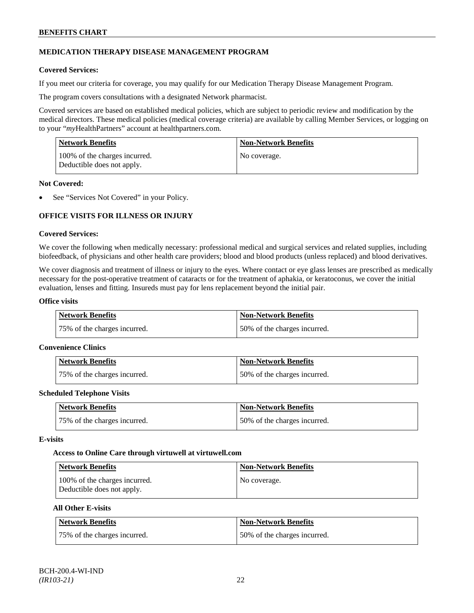# **MEDICATION THERAPY DISEASE MANAGEMENT PROGRAM**

### **Covered Services:**

If you meet our criteria for coverage, you may qualify for our Medication Therapy Disease Management Program.

The program covers consultations with a designated Network pharmacist.

Covered services are based on established medical policies, which are subject to periodic review and modification by the medical directors. These medical policies (medical coverage criteria) are available by calling Member Services, or logging on to your "*my*HealthPartners" account at [healthpartners.com.](http://www.healthpartners.com/)

| <b>Network Benefits</b>                                     | <b>Non-Network Benefits</b> |
|-------------------------------------------------------------|-----------------------------|
| 100% of the charges incurred.<br>Deductible does not apply. | No coverage.                |

### **Not Covered:**

See "Services Not Covered" in your Policy.

# **OFFICE VISITS FOR ILLNESS OR INJURY**

### **Covered Services:**

We cover the following when medically necessary: professional medical and surgical services and related supplies, including biofeedback, of physicians and other health care providers; blood and blood products (unless replaced) and blood derivatives.

We cover diagnosis and treatment of illness or injury to the eyes. Where contact or eye glass lenses are prescribed as medically necessary for the post-operative treatment of cataracts or for the treatment of aphakia, or keratoconus, we cover the initial evaluation, lenses and fitting. Insureds must pay for lens replacement beyond the initial pair.

### **Office visits**

| Network Benefits             | <b>Non-Network Benefits</b>  |
|------------------------------|------------------------------|
| 75% of the charges incurred. | 50% of the charges incurred. |

#### **Convenience Clinics**

| <b>Network Benefits</b>      | <b>Non-Network Benefits</b>  |
|------------------------------|------------------------------|
| 75% of the charges incurred. | 50% of the charges incurred. |

#### **Scheduled Telephone Visits**

| <b>Network Benefits</b>      | <b>Non-Network Benefits</b>  |
|------------------------------|------------------------------|
| 75% of the charges incurred. | 50% of the charges incurred. |

#### **E-visits**

#### **Access to Online Care through virtuwell a[t virtuwell.com](http://www.virtuwell.com/)**

| Network Benefits                                            | Non-Network Benefits |
|-------------------------------------------------------------|----------------------|
| 100% of the charges incurred.<br>Deductible does not apply. | No coverage.         |

# **All Other E-visits**

| Network Benefits             | Non-Network Benefits         |
|------------------------------|------------------------------|
| 75% of the charges incurred. | 50% of the charges incurred. |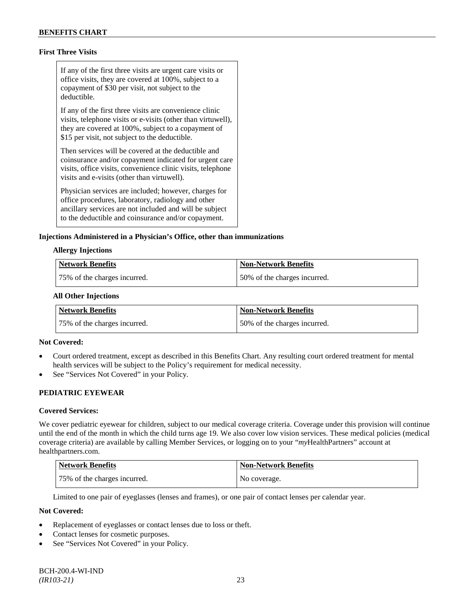# **First Three Visits**

If any of the first three visits are urgent care visits or office visits, they are covered at 100%, subject to a copayment of \$30 per visit, not subject to the deductible.

If any of the first three visits are convenience clinic visits, telephone visits or e-visits (other than virtuwell), they are covered at 100%, subject to a copayment of \$15 per visit, not subject to the deductible.

Then services will be covered at the deductible and coinsurance and/or copayment indicated for urgent care visits, office visits, convenience clinic visits, telephone visits and e-visits (other than virtuwell).

Physician services are included; however, charges for office procedures, laboratory, radiology and other ancillary services are not included and will be subject to the deductible and coinsurance and/or copayment.

### **Injections Administered in a Physician's Office, other than immunizations**

#### **Allergy Injections**

| Network Benefits             | Non-Network Benefits         |
|------------------------------|------------------------------|
| 75% of the charges incurred. | 50% of the charges incurred. |

#### **All Other Injections**

| Network Benefits             | <b>Non-Network Benefits</b>  |
|------------------------------|------------------------------|
| 75% of the charges incurred. | 50% of the charges incurred. |

#### **Not Covered:**

- Court ordered treatment, except as described in this Benefits Chart. Any resulting court ordered treatment for mental health services will be subject to the Policy's requirement for medical necessity.
- See "Services Not Covered" in your Policy.

# **PEDIATRIC EYEWEAR**

#### **Covered Services:**

We cover pediatric eyewear for children, subject to our medical coverage criteria. Coverage under this provision will continue until the end of the month in which the child turns age 19. We also cover low vision services. These medical policies (medical coverage criteria) are available by calling Member Services, or logging on to your "*my*HealthPartners" account at [healthpartners.com.](http://www.healthpartners.com/)

| <b>Network Benefits</b>      | <b>Non-Network Benefits</b> |
|------------------------------|-----------------------------|
| 75% of the charges incurred. | No coverage.                |

Limited to one pair of eyeglasses (lenses and frames), or one pair of contact lenses per calendar year.

### **Not Covered:**

- Replacement of eyeglasses or contact lenses due to loss or theft.
- Contact lenses for cosmetic purposes.
- See "Services Not Covered" in your Policy.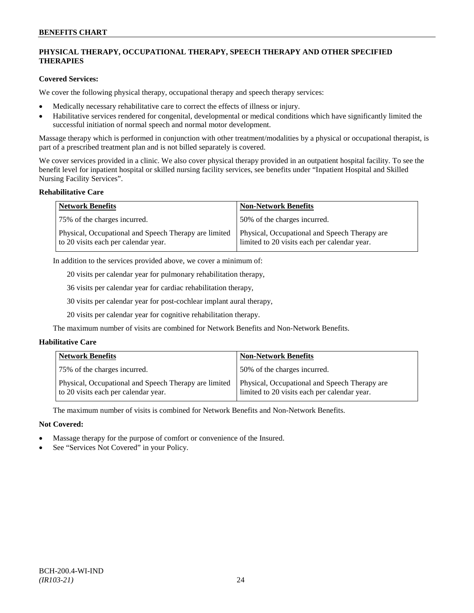# **PHYSICAL THERAPY, OCCUPATIONAL THERAPY, SPEECH THERAPY AND OTHER SPECIFIED THERAPIES**

### **Covered Services:**

We cover the following physical therapy, occupational therapy and speech therapy services:

- Medically necessary rehabilitative care to correct the effects of illness or injury.
- Habilitative services rendered for congenital, developmental or medical conditions which have significantly limited the successful initiation of normal speech and normal motor development.

Massage therapy which is performed in conjunction with other treatment/modalities by a physical or occupational therapist, is part of a prescribed treatment plan and is not billed separately is covered.

We cover services provided in a clinic. We also cover physical therapy provided in an outpatient hospital facility. To see the benefit level for inpatient hospital or skilled nursing facility services, see benefits under "Inpatient Hospital and Skilled Nursing Facility Services".

#### **Rehabilitative Care**

| <b>Network Benefits</b>                                                                       | <b>Non-Network Benefits</b>                                                                   |
|-----------------------------------------------------------------------------------------------|-----------------------------------------------------------------------------------------------|
| 75% of the charges incurred.                                                                  | 50% of the charges incurred.                                                                  |
| Physical, Occupational and Speech Therapy are limited<br>to 20 visits each per calendar year. | Physical, Occupational and Speech Therapy are<br>limited to 20 visits each per calendar year. |

In addition to the services provided above, we cover a minimum of:

20 visits per calendar year for pulmonary rehabilitation therapy,

36 visits per calendar year for cardiac rehabilitation therapy,

30 visits per calendar year for post-cochlear implant aural therapy,

20 visits per calendar year for cognitive rehabilitation therapy.

The maximum number of visits are combined for Network Benefits and Non-Network Benefits.

# **Habilitative Care**

| <b>Network Benefits</b>                                                                       | <b>Non-Network Benefits</b>                                                                   |
|-----------------------------------------------------------------------------------------------|-----------------------------------------------------------------------------------------------|
| 75% of the charges incurred.                                                                  | 150% of the charges incurred.                                                                 |
| Physical, Occupational and Speech Therapy are limited<br>to 20 visits each per calendar year. | Physical, Occupational and Speech Therapy are<br>limited to 20 visits each per calendar year. |

The maximum number of visits is combined for Network Benefits and Non-Network Benefits.

# **Not Covered:**

- Massage therapy for the purpose of comfort or convenience of the Insured.
- See "Services Not Covered" in your Policy.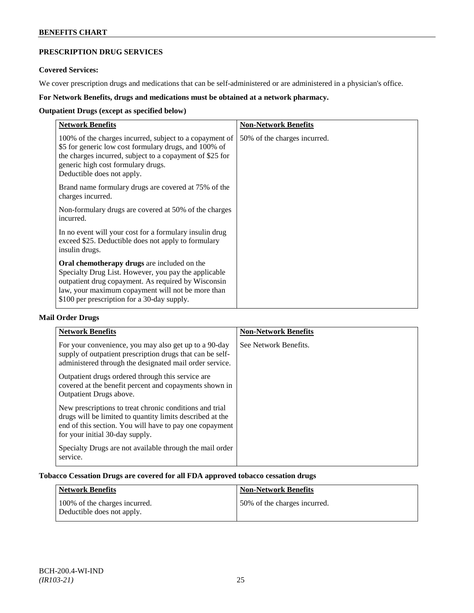# **PRESCRIPTION DRUG SERVICES**

# **Covered Services:**

We cover prescription drugs and medications that can be self-administered or are administered in a physician's office.

# **For Network Benefits, drugs and medications must be obtained at a network pharmacy.**

# **Outpatient Drugs (except as specified below)**

| <b>Network Benefits</b>                                                                                                                                                                                                                                               | <b>Non-Network Benefits</b>  |
|-----------------------------------------------------------------------------------------------------------------------------------------------------------------------------------------------------------------------------------------------------------------------|------------------------------|
| 100% of the charges incurred, subject to a copayment of<br>\$5 for generic low cost formulary drugs, and 100% of<br>the charges incurred, subject to a copayment of \$25 for<br>generic high cost formulary drugs.<br>Deductible does not apply.                      | 50% of the charges incurred. |
| Brand name formulary drugs are covered at 75% of the<br>charges incurred.                                                                                                                                                                                             |                              |
| Non-formulary drugs are covered at 50% of the charges<br>incurred.                                                                                                                                                                                                    |                              |
| In no event will your cost for a formulary insulin drug<br>exceed \$25. Deductible does not apply to formulary<br>insulin drugs.                                                                                                                                      |                              |
| <b>Oral chemotherapy drugs</b> are included on the<br>Specialty Drug List. However, you pay the applicable<br>outpatient drug copayment. As required by Wisconsin<br>law, your maximum copayment will not be more than<br>\$100 per prescription for a 30-day supply. |                              |

# **Mail Order Drugs**

| <b>Network Benefits</b>                                                                                                                                                                                            | <b>Non-Network Benefits</b> |
|--------------------------------------------------------------------------------------------------------------------------------------------------------------------------------------------------------------------|-----------------------------|
| For your convenience, you may also get up to a 90-day<br>supply of outpatient prescription drugs that can be self-<br>administered through the designated mail order service.                                      | See Network Benefits.       |
| Outpatient drugs ordered through this service are.<br>covered at the benefit percent and copayments shown in<br>Outpatient Drugs above.                                                                            |                             |
| New prescriptions to treat chronic conditions and trial<br>drugs will be limited to quantity limits described at the<br>end of this section. You will have to pay one copayment<br>for your initial 30-day supply. |                             |
| Specialty Drugs are not available through the mail order<br>service.                                                                                                                                               |                             |

# **Tobacco Cessation Drugs are covered for all FDA approved tobacco cessation drugs**

| Network Benefits                                            | <b>Non-Network Benefits</b>  |
|-------------------------------------------------------------|------------------------------|
| 100% of the charges incurred.<br>Deductible does not apply. | 50% of the charges incurred. |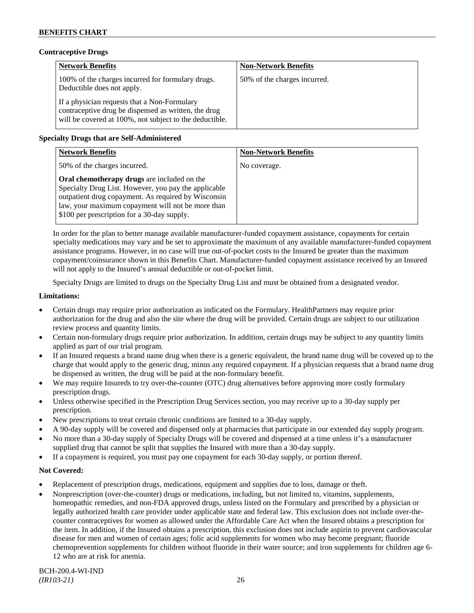# **Contraceptive Drugs**

| <b>Network Benefits</b>                                                                                                                                         | <b>Non-Network Benefits</b>  |
|-----------------------------------------------------------------------------------------------------------------------------------------------------------------|------------------------------|
| 100% of the charges incurred for formulary drugs.<br>Deductible does not apply.                                                                                 | 50% of the charges incurred. |
| If a physician requests that a Non-Formulary<br>contraceptive drug be dispensed as written, the drug<br>will be covered at 100%, not subject to the deductible. |                              |

# **Specialty Drugs that are Self-Administered**

| <b>Network Benefits</b>                                                                                                                                                                                                                                        | <b>Non-Network Benefits</b> |
|----------------------------------------------------------------------------------------------------------------------------------------------------------------------------------------------------------------------------------------------------------------|-----------------------------|
| 50% of the charges incurred.                                                                                                                                                                                                                                   | No coverage.                |
| Oral chemotherapy drugs are included on the<br>Specialty Drug List. However, you pay the applicable<br>outpatient drug copayment. As required by Wisconsin<br>law, your maximum copayment will not be more than<br>\$100 per prescription for a 30-day supply. |                             |

In order for the plan to better manage available manufacturer-funded copayment assistance, copayments for certain specialty medications may vary and be set to approximate the maximum of any available manufacturer-funded copayment assistance programs. However, in no case will true out-of-pocket costs to the Insured be greater than the maximum copayment/coinsurance shown in this Benefits Chart. Manufacturer-funded copayment assistance received by an Insured will not apply to the Insured's annual deductible or out-of-pocket limit.

Specialty Drugs are limited to drugs on the Specialty Drug List and must be obtained from a designated vendor.

### **Limitations:**

- Certain drugs may require prior authorization as indicated on the Formulary. HealthPartners may require prior authorization for the drug and also the site where the drug will be provided. Certain drugs are subject to our utilization review process and quantity limits.
- Certain non-formulary drugs require prior authorization. In addition, certain drugs may be subject to any quantity limits applied as part of our trial program.
- If an Insured requests a brand name drug when there is a generic equivalent, the brand name drug will be covered up to the charge that would apply to the generic drug, minus any required copayment. If a physician requests that a brand name drug be dispensed as written, the drug will be paid at the non-formulary benefit.
- We may require Insureds to try over-the-counter (OTC) drug alternatives before approving more costly formulary prescription drugs.
- Unless otherwise specified in the Prescription Drug Services section, you may receive up to a 30-day supply per prescription.
- New prescriptions to treat certain chronic conditions are limited to a 30-day supply.
- A 90-day supply will be covered and dispensed only at pharmacies that participate in our extended day supply program.
- No more than a 30-day supply of Specialty Drugs will be covered and dispensed at a time unless it's a manufacturer supplied drug that cannot be split that supplies the Insured with more than a 30-day supply.
- If a copayment is required, you must pay one copayment for each 30-day supply, or portion thereof.

# **Not Covered:**

- Replacement of prescription drugs, medications, equipment and supplies due to loss, damage or theft.
- Nonprescription (over-the-counter) drugs or medications, including, but not limited to, vitamins, supplements, homeopathic remedies, and non-FDA approved drugs, unless listed on the Formulary and prescribed by a physician or legally authorized health care provider under applicable state and federal law. This exclusion does not include over-thecounter contraceptives for women as allowed under the Affordable Care Act when the Insured obtains a prescription for the item. In addition, if the Insured obtains a prescription, this exclusion does not include aspirin to prevent cardiovascular disease for men and women of certain ages; folic acid supplements for women who may become pregnant; fluoride chemoprevention supplements for children without fluoride in their water source; and iron supplements for children age 6- 12 who are at risk for anemia.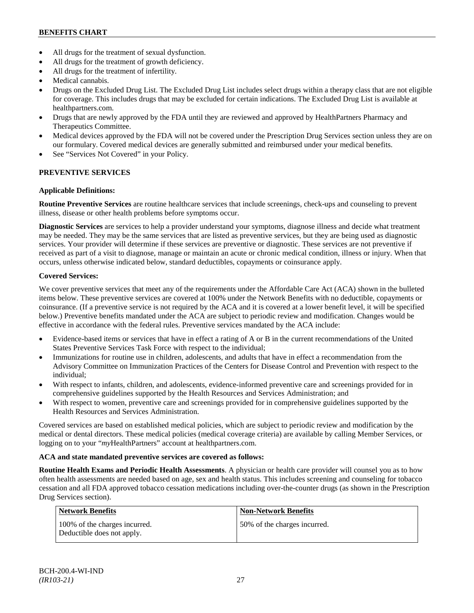- All drugs for the treatment of sexual dysfunction.
- All drugs for the treatment of growth deficiency.
- All drugs for the treatment of infertility.
- Medical cannabis.
- Drugs on the Excluded Drug List. The Excluded Drug List includes select drugs within a therapy class that are not eligible for coverage. This includes drugs that may be excluded for certain indications. The Excluded Drug List is available at [healthpartners.com.](http://www.healthpartners.com/)
- Drugs that are newly approved by the FDA until they are reviewed and approved by HealthPartners Pharmacy and Therapeutics Committee.
- Medical devices approved by the FDA will not be covered under the Prescription Drug Services section unless they are on our formulary. Covered medical devices are generally submitted and reimbursed under your medical benefits.
- See "Services Not Covered" in your Policy.

# **PREVENTIVE SERVICES**

# **Applicable Definitions:**

**Routine Preventive Services** are routine healthcare services that include screenings, check-ups and counseling to prevent illness, disease or other health problems before symptoms occur.

**Diagnostic Services** are services to help a provider understand your symptoms, diagnose illness and decide what treatment may be needed. They may be the same services that are listed as preventive services, but they are being used as diagnostic services. Your provider will determine if these services are preventive or diagnostic. These services are not preventive if received as part of a visit to diagnose, manage or maintain an acute or chronic medical condition, illness or injury. When that occurs, unless otherwise indicated below, standard deductibles, copayments or coinsurance apply.

# **Covered Services:**

We cover preventive services that meet any of the requirements under the Affordable Care Act (ACA) shown in the bulleted items below. These preventive services are covered at 100% under the Network Benefits with no deductible, copayments or coinsurance. (If a preventive service is not required by the ACA and it is covered at a lower benefit level, it will be specified below.) Preventive benefits mandated under the ACA are subject to periodic review and modification. Changes would be effective in accordance with the federal rules. Preventive services mandated by the ACA include:

- Evidence-based items or services that have in effect a rating of A or B in the current recommendations of the United States Preventive Services Task Force with respect to the individual;
- Immunizations for routine use in children, adolescents, and adults that have in effect a recommendation from the Advisory Committee on Immunization Practices of the Centers for Disease Control and Prevention with respect to the individual;
- With respect to infants, children, and adolescents, evidence-informed preventive care and screenings provided for in comprehensive guidelines supported by the Health Resources and Services Administration; and
- With respect to women, preventive care and screenings provided for in comprehensive guidelines supported by the Health Resources and Services Administration.

Covered services are based on established medical policies, which are subject to periodic review and modification by the medical or dental directors. These medical policies (medical coverage criteria) are available by calling Member Services, or logging on to your "*my*HealthPartners" account at [healthpartners.com.](http://www.healthpartners.com/)

# **ACA and state mandated preventive services are covered as follows:**

**Routine Health Exams and Periodic Health Assessments**. A physician or health care provider will counsel you as to how often health assessments are needed based on age, sex and health status. This includes screening and counseling for tobacco cessation and all FDA approved tobacco cessation medications including over-the-counter drugs (as shown in the Prescription Drug Services section).

| Network Benefits                                            | <b>Non-Network Benefits</b>  |
|-------------------------------------------------------------|------------------------------|
| 100% of the charges incurred.<br>Deductible does not apply. | 50% of the charges incurred. |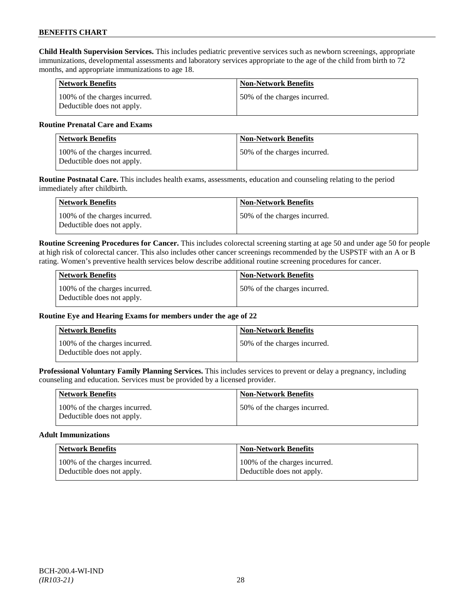**Child Health Supervision Services.** This includes pediatric preventive services such as newborn screenings, appropriate immunizations, developmental assessments and laboratory services appropriate to the age of the child from birth to 72 months, and appropriate immunizations to age 18.

| <b>Network Benefits</b>                                     | <b>Non-Network Benefits</b>  |
|-------------------------------------------------------------|------------------------------|
| 100% of the charges incurred.<br>Deductible does not apply. | 50% of the charges incurred. |

# **Routine Prenatal Care and Exams**

| <b>Network Benefits</b>                                     | <b>Non-Network Benefits</b>   |
|-------------------------------------------------------------|-------------------------------|
| 100% of the charges incurred.<br>Deductible does not apply. | 150% of the charges incurred. |

**Routine Postnatal Care.** This includes health exams, assessments, education and counseling relating to the period immediately after childbirth.

| Network Benefits                                            | <b>Non-Network Benefits</b>  |
|-------------------------------------------------------------|------------------------------|
| 100% of the charges incurred.<br>Deductible does not apply. | 50% of the charges incurred. |

**Routine Screening Procedures for Cancer.** This includes colorectal screening starting at age 50 and under age 50 for people at high risk of colorectal cancer. This also includes other cancer screenings recommended by the USPSTF with an A or B rating. Women's preventive health services below describe additional routine screening procedures for cancer.

| Network Benefits                                            | <b>Non-Network Benefits</b>  |
|-------------------------------------------------------------|------------------------------|
| 100% of the charges incurred.<br>Deductible does not apply. | 50% of the charges incurred. |

# **Routine Eye and Hearing Exams for members under the age of 22**

| <b>Network Benefits</b>                                     | <b>Non-Network Benefits</b>  |
|-------------------------------------------------------------|------------------------------|
| 100% of the charges incurred.<br>Deductible does not apply. | 50% of the charges incurred. |

**Professional Voluntary Family Planning Services.** This includes services to prevent or delay a pregnancy, including counseling and education. Services must be provided by a licensed provider.

| <b>Network Benefits</b>                                     | <b>Non-Network Benefits</b>   |
|-------------------------------------------------------------|-------------------------------|
| 100% of the charges incurred.<br>Deductible does not apply. | 150% of the charges incurred. |

#### **Adult Immunizations**

| <b>Network Benefits</b>       | <b>Non-Network Benefits</b>   |
|-------------------------------|-------------------------------|
| 100% of the charges incurred. | 100% of the charges incurred. |
| Deductible does not apply.    | Deductible does not apply.    |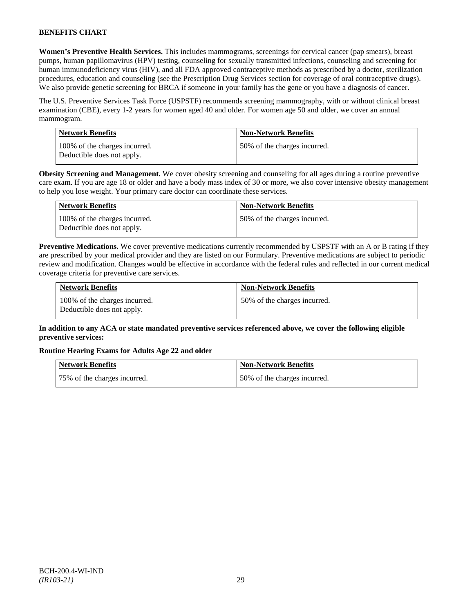**Women's Preventive Health Services.** This includes mammograms, screenings for cervical cancer (pap smears), breast pumps, human papillomavirus (HPV) testing, counseling for sexually transmitted infections, counseling and screening for human immunodeficiency virus (HIV), and all FDA approved contraceptive methods as prescribed by a doctor, sterilization procedures, education and counseling (see the Prescription Drug Services section for coverage of oral contraceptive drugs). We also provide genetic screening for BRCA if someone in your family has the gene or you have a diagnosis of cancer.

The U.S. Preventive Services Task Force (USPSTF) recommends screening mammography, with or without clinical breast examination (CBE), every 1-2 years for women aged 40 and older. For women age 50 and older, we cover an annual mammogram.

| Network Benefits                                            | <b>Non-Network Benefits</b>  |
|-------------------------------------------------------------|------------------------------|
| 100% of the charges incurred.<br>Deductible does not apply. | 50% of the charges incurred. |

**Obesity Screening and Management.** We cover obesity screening and counseling for all ages during a routine preventive care exam. If you are age 18 or older and have a body mass index of 30 or more, we also cover intensive obesity management to help you lose weight. Your primary care doctor can coordinate these services.

| <b>Network Benefits</b>                                     | <b>Non-Network Benefits</b>  |
|-------------------------------------------------------------|------------------------------|
| 100% of the charges incurred.<br>Deductible does not apply. | 50% of the charges incurred. |

**Preventive Medications.** We cover preventive medications currently recommended by USPSTF with an A or B rating if they are prescribed by your medical provider and they are listed on our Formulary. Preventive medications are subject to periodic review and modification. Changes would be effective in accordance with the federal rules and reflected in our current medical coverage criteria for preventive care services.

| <b>Network Benefits</b>                                     | <b>Non-Network Benefits</b>  |
|-------------------------------------------------------------|------------------------------|
| 100% of the charges incurred.<br>Deductible does not apply. | 50% of the charges incurred. |

# **In addition to any ACA or state mandated preventive services referenced above, we cover the following eligible preventive services:**

# **Routine Hearing Exams for Adults Age 22 and older**

| Network Benefits             | Non-Network Benefits         |
|------------------------------|------------------------------|
| 75% of the charges incurred. | 50% of the charges incurred. |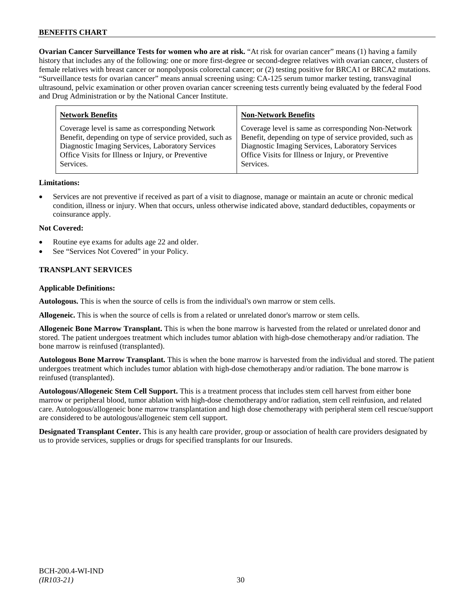**Ovarian Cancer Surveillance Tests for women who are at risk.** "At risk for ovarian cancer" means (1) having a family history that includes any of the following: one or more first-degree or second-degree relatives with ovarian cancer, clusters of female relatives with breast cancer or nonpolyposis colorectal cancer; or (2) testing positive for BRCA1 or BRCA2 mutations. "Surveillance tests for ovarian cancer" means annual screening using: CA-125 serum tumor marker testing, transvaginal ultrasound, pelvic examination or other proven ovarian cancer screening tests currently being evaluated by the federal Food and Drug Administration or by the National Cancer Institute.

| <b>Network Benefits</b>                                 | <b>Non-Network Benefits</b>                             |
|---------------------------------------------------------|---------------------------------------------------------|
| Coverage level is same as corresponding Network         | Coverage level is same as corresponding Non-Network     |
| Benefit, depending on type of service provided, such as | Benefit, depending on type of service provided, such as |
| Diagnostic Imaging Services, Laboratory Services        | Diagnostic Imaging Services, Laboratory Services        |
| Office Visits for Illness or Injury, or Preventive      | Office Visits for Illness or Injury, or Preventive      |
| Services.                                               | Services.                                               |

# **Limitations:**

• Services are not preventive if received as part of a visit to diagnose, manage or maintain an acute or chronic medical condition, illness or injury. When that occurs, unless otherwise indicated above, standard deductibles, copayments or coinsurance apply.

### **Not Covered:**

- Routine eye exams for adults age 22 and older.
- See "Services Not Covered" in your Policy.

# **TRANSPLANT SERVICES**

### **Applicable Definitions:**

**Autologous.** This is when the source of cells is from the individual's own marrow or stem cells.

**Allogeneic.** This is when the source of cells is from a related or unrelated donor's marrow or stem cells.

**Allogeneic Bone Marrow Transplant.** This is when the bone marrow is harvested from the related or unrelated donor and stored. The patient undergoes treatment which includes tumor ablation with high-dose chemotherapy and/or radiation. The bone marrow is reinfused (transplanted).

**Autologous Bone Marrow Transplant.** This is when the bone marrow is harvested from the individual and stored. The patient undergoes treatment which includes tumor ablation with high-dose chemotherapy and/or radiation. The bone marrow is reinfused (transplanted).

**Autologous/Allogeneic Stem Cell Support.** This is a treatment process that includes stem cell harvest from either bone marrow or peripheral blood, tumor ablation with high-dose chemotherapy and/or radiation, stem cell reinfusion, and related care. Autologous/allogeneic bone marrow transplantation and high dose chemotherapy with peripheral stem cell rescue/support are considered to be autologous/allogeneic stem cell support.

**Designated Transplant Center.** This is any health care provider, group or association of health care providers designated by us to provide services, supplies or drugs for specified transplants for our Insureds.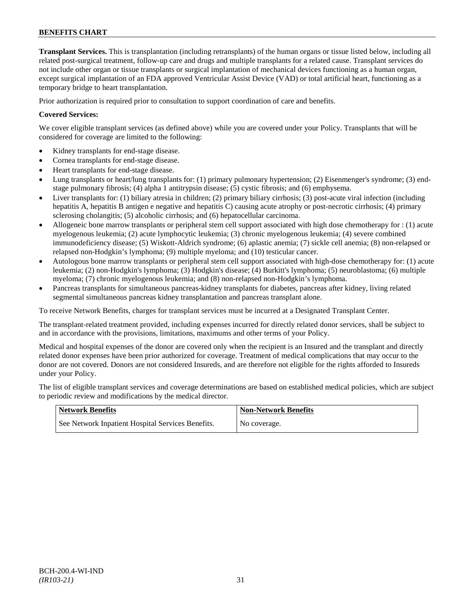**Transplant Services.** This is transplantation (including retransplants) of the human organs or tissue listed below, including all related post-surgical treatment, follow-up care and drugs and multiple transplants for a related cause. Transplant services do not include other organ or tissue transplants or surgical implantation of mechanical devices functioning as a human organ, except surgical implantation of an FDA approved Ventricular Assist Device (VAD) or total artificial heart, functioning as a temporary bridge to heart transplantation.

Prior authorization is required prior to consultation to support coordination of care and benefits.

# **Covered Services:**

We cover eligible transplant services (as defined above) while you are covered under your Policy. Transplants that will be considered for coverage are limited to the following:

- Kidney transplants for end-stage disease.
- Cornea transplants for end-stage disease.
- Heart transplants for end-stage disease.
- Lung transplants or heart/lung transplants for: (1) primary pulmonary hypertension; (2) Eisenmenger's syndrome; (3) endstage pulmonary fibrosis; (4) alpha 1 antitrypsin disease; (5) cystic fibrosis; and (6) emphysema.
- Liver transplants for: (1) biliary atresia in children; (2) primary biliary cirrhosis; (3) post-acute viral infection (including hepatitis A, hepatitis B antigen e negative and hepatitis C) causing acute atrophy or post-necrotic cirrhosis; (4) primary sclerosing cholangitis; (5) alcoholic cirrhosis; and (6) hepatocellular carcinoma.
- Allogeneic bone marrow transplants or peripheral stem cell support associated with high dose chemotherapy for : (1) acute myelogenous leukemia; (2) acute lymphocytic leukemia; (3) chronic myelogenous leukemia; (4) severe combined immunodeficiency disease; (5) Wiskott-Aldrich syndrome; (6) aplastic anemia; (7) sickle cell anemia; (8) non-relapsed or relapsed non-Hodgkin's lymphoma; (9) multiple myeloma; and (10) testicular cancer.
- Autologous bone marrow transplants or peripheral stem cell support associated with high-dose chemotherapy for: (1) acute leukemia; (2) non-Hodgkin's lymphoma; (3) Hodgkin's disease; (4) Burkitt's lymphoma; (5) neuroblastoma; (6) multiple myeloma; (7) chronic myelogenous leukemia; and (8) non-relapsed non-Hodgkin's lymphoma.
- Pancreas transplants for simultaneous pancreas-kidney transplants for diabetes, pancreas after kidney, living related segmental simultaneous pancreas kidney transplantation and pancreas transplant alone.

To receive Network Benefits, charges for transplant services must be incurred at a Designated Transplant Center.

The transplant-related treatment provided, including expenses incurred for directly related donor services, shall be subject to and in accordance with the provisions, limitations, maximums and other terms of your Policy.

Medical and hospital expenses of the donor are covered only when the recipient is an Insured and the transplant and directly related donor expenses have been prior authorized for coverage. Treatment of medical complications that may occur to the donor are not covered. Donors are not considered Insureds, and are therefore not eligible for the rights afforded to Insureds under your Policy.

The list of eligible transplant services and coverage determinations are based on established medical policies, which are subject to periodic review and modifications by the medical director.

| <b>Network Benefits</b>                           | <b>Non-Network Benefits</b> |
|---------------------------------------------------|-----------------------------|
| See Network Inpatient Hospital Services Benefits. | No coverage.                |